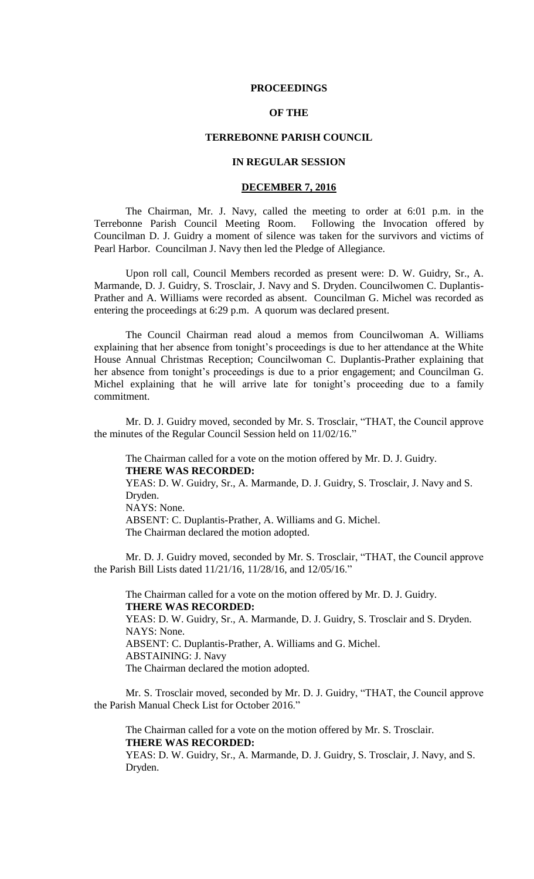#### **PROCEEDINGS**

## **OF THE**

### **TERREBONNE PARISH COUNCIL**

## **IN REGULAR SESSION**

#### **DECEMBER 7, 2016**

The Chairman, Mr. J. Navy, called the meeting to order at 6:01 p.m. in the Terrebonne Parish Council Meeting Room. Following the Invocation offered by Councilman D. J. Guidry a moment of silence was taken for the survivors and victims of Pearl Harbor. Councilman J. Navy then led the Pledge of Allegiance.

Upon roll call, Council Members recorded as present were: D. W. Guidry, Sr., A. Marmande, D. J. Guidry, S. Trosclair, J. Navy and S. Dryden. Councilwomen C. Duplantis-Prather and A. Williams were recorded as absent. Councilman G. Michel was recorded as entering the proceedings at 6:29 p.m. A quorum was declared present.

The Council Chairman read aloud a memos from Councilwoman A. Williams explaining that her absence from tonight's proceedings is due to her attendance at the White House Annual Christmas Reception; Councilwoman C. Duplantis-Prather explaining that her absence from tonight's proceedings is due to a prior engagement; and Councilman G. Michel explaining that he will arrive late for tonight's proceeding due to a family commitment.

Mr. D. J. Guidry moved, seconded by Mr. S. Trosclair, "THAT, the Council approve the minutes of the Regular Council Session held on 11/02/16."

The Chairman called for a vote on the motion offered by Mr. D. J. Guidry. **THERE WAS RECORDED:** YEAS: D. W. Guidry, Sr., A. Marmande, D. J. Guidry, S. Trosclair, J. Navy and S. Dryden. NAYS: None. ABSENT: C. Duplantis-Prather, A. Williams and G. Michel. The Chairman declared the motion adopted.

Mr. D. J. Guidry moved, seconded by Mr. S. Trosclair, "THAT, the Council approve the Parish Bill Lists dated 11/21/16, 11/28/16, and 12/05/16."

The Chairman called for a vote on the motion offered by Mr. D. J. Guidry. **THERE WAS RECORDED:** YEAS: D. W. Guidry, Sr., A. Marmande, D. J. Guidry, S. Trosclair and S. Dryden. NAYS: None. ABSENT: C. Duplantis-Prather, A. Williams and G. Michel. ABSTAINING: J. Navy The Chairman declared the motion adopted.

Mr. S. Trosclair moved, seconded by Mr. D. J. Guidry, "THAT, the Council approve the Parish Manual Check List for October 2016."

The Chairman called for a vote on the motion offered by Mr. S. Trosclair. **THERE WAS RECORDED:** YEAS: D. W. Guidry, Sr., A. Marmande, D. J. Guidry, S. Trosclair, J. Navy, and S.

Dryden.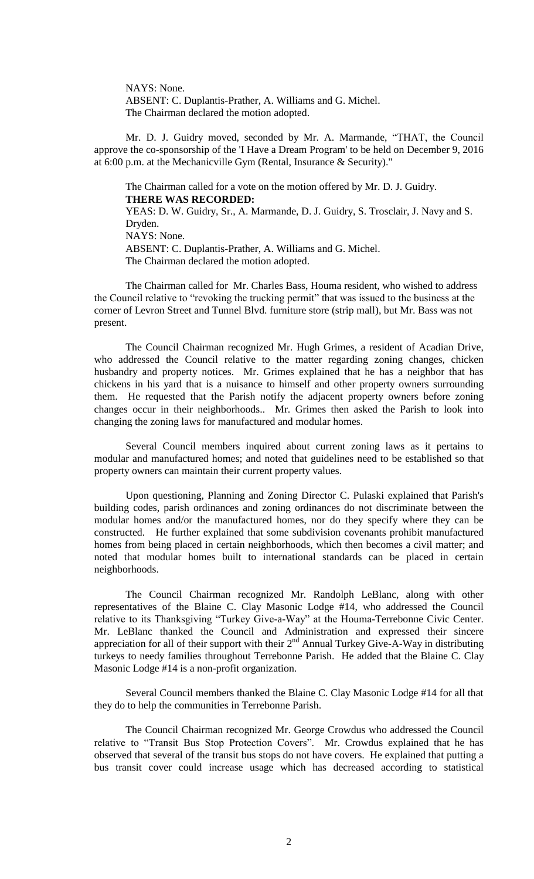NAYS: None. ABSENT: C. Duplantis-Prather, A. Williams and G. Michel. The Chairman declared the motion adopted.

Mr. D. J. Guidry moved, seconded by Mr. A. Marmande, "THAT, the Council approve the co-sponsorship of the 'I Have a Dream Program' to be held on December 9, 2016 at 6:00 p.m. at the Mechanicville Gym (Rental, Insurance & Security)."

The Chairman called for a vote on the motion offered by Mr. D. J. Guidry. **THERE WAS RECORDED:** YEAS: D. W. Guidry, Sr., A. Marmande, D. J. Guidry, S. Trosclair, J. Navy and S. Dryden. NAYS: None. ABSENT: C. Duplantis-Prather, A. Williams and G. Michel. The Chairman declared the motion adopted.

The Chairman called for Mr. Charles Bass, Houma resident, who wished to address the Council relative to "revoking the trucking permit" that was issued to the business at the corner of Levron Street and Tunnel Blvd. furniture store (strip mall), but Mr. Bass was not present.

The Council Chairman recognized Mr. Hugh Grimes, a resident of Acadian Drive, who addressed the Council relative to the matter regarding zoning changes, chicken husbandry and property notices. Mr. Grimes explained that he has a neighbor that has chickens in his yard that is a nuisance to himself and other property owners surrounding them. He requested that the Parish notify the adjacent property owners before zoning changes occur in their neighborhoods.. Mr. Grimes then asked the Parish to look into changing the zoning laws for manufactured and modular homes.

Several Council members inquired about current zoning laws as it pertains to modular and manufactured homes; and noted that guidelines need to be established so that property owners can maintain their current property values.

Upon questioning, Planning and Zoning Director C. Pulaski explained that Parish's building codes, parish ordinances and zoning ordinances do not discriminate between the modular homes and/or the manufactured homes, nor do they specify where they can be constructed. He further explained that some subdivision covenants prohibit manufactured homes from being placed in certain neighborhoods, which then becomes a civil matter; and noted that modular homes built to international standards can be placed in certain neighborhoods.

The Council Chairman recognized Mr. Randolph LeBlanc, along with other representatives of the Blaine C. Clay Masonic Lodge #14, who addressed the Council relative to its Thanksgiving "Turkey Give-a-Way" at the Houma-Terrebonne Civic Center. Mr. LeBlanc thanked the Council and Administration and expressed their sincere appreciation for all of their support with their  $2<sup>nd</sup>$  Annual Turkey Give-A-Way in distributing turkeys to needy families throughout Terrebonne Parish. He added that the Blaine C. Clay Masonic Lodge #14 is a non-profit organization.

Several Council members thanked the Blaine C. Clay Masonic Lodge #14 for all that they do to help the communities in Terrebonne Parish.

The Council Chairman recognized Mr. George Crowdus who addressed the Council relative to "Transit Bus Stop Protection Covers". Mr. Crowdus explained that he has observed that several of the transit bus stops do not have covers. He explained that putting a bus transit cover could increase usage which has decreased according to statistical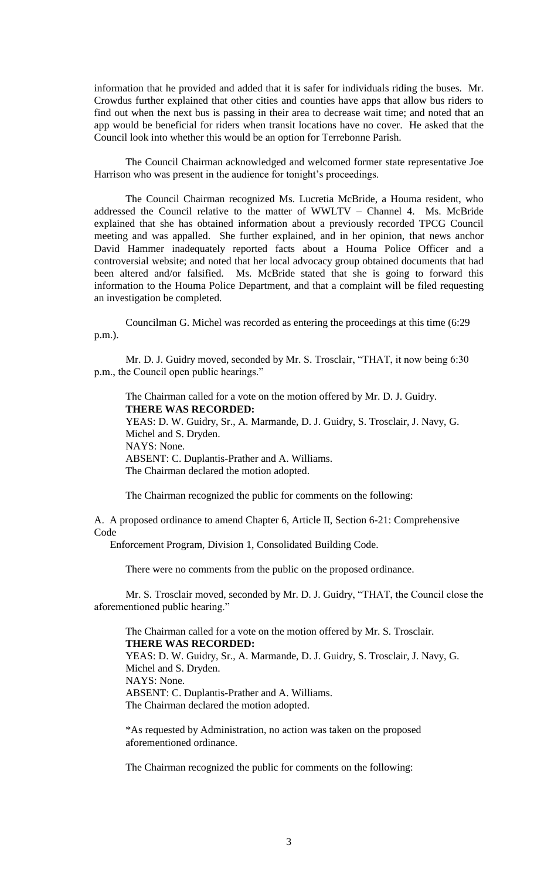information that he provided and added that it is safer for individuals riding the buses. Mr. Crowdus further explained that other cities and counties have apps that allow bus riders to find out when the next bus is passing in their area to decrease wait time; and noted that an app would be beneficial for riders when transit locations have no cover. He asked that the Council look into whether this would be an option for Terrebonne Parish.

The Council Chairman acknowledged and welcomed former state representative Joe Harrison who was present in the audience for tonight's proceedings.

The Council Chairman recognized Ms. Lucretia McBride, a Houma resident, who addressed the Council relative to the matter of WWLTV – Channel 4. Ms. McBride explained that she has obtained information about a previously recorded TPCG Council meeting and was appalled. She further explained, and in her opinion, that news anchor David Hammer inadequately reported facts about a Houma Police Officer and a controversial website; and noted that her local advocacy group obtained documents that had been altered and/or falsified. Ms. McBride stated that she is going to forward this information to the Houma Police Department, and that a complaint will be filed requesting an investigation be completed.

Councilman G. Michel was recorded as entering the proceedings at this time (6:29 p.m.).

Mr. D. J. Guidry moved, seconded by Mr. S. Trosclair, "THAT, it now being 6:30 p.m., the Council open public hearings."

The Chairman called for a vote on the motion offered by Mr. D. J. Guidry. **THERE WAS RECORDED:** YEAS: D. W. Guidry, Sr., A. Marmande, D. J. Guidry, S. Trosclair, J. Navy, G. Michel and S. Dryden. NAYS: None. ABSENT: C. Duplantis-Prather and A. Williams. The Chairman declared the motion adopted.

The Chairman recognized the public for comments on the following:

A. A proposed ordinance to amend Chapter 6, Article II, Section 6-21: Comprehensive Code

Enforcement Program, Division 1, Consolidated Building Code.

There were no comments from the public on the proposed ordinance.

Mr. S. Trosclair moved, seconded by Mr. D. J. Guidry, "THAT, the Council close the aforementioned public hearing."

The Chairman called for a vote on the motion offered by Mr. S. Trosclair. **THERE WAS RECORDED:** YEAS: D. W. Guidry, Sr., A. Marmande, D. J. Guidry, S. Trosclair, J. Navy, G. Michel and S. Dryden. NAYS: None. ABSENT: C. Duplantis-Prather and A. Williams. The Chairman declared the motion adopted.

\*As requested by Administration, no action was taken on the proposed aforementioned ordinance.

The Chairman recognized the public for comments on the following: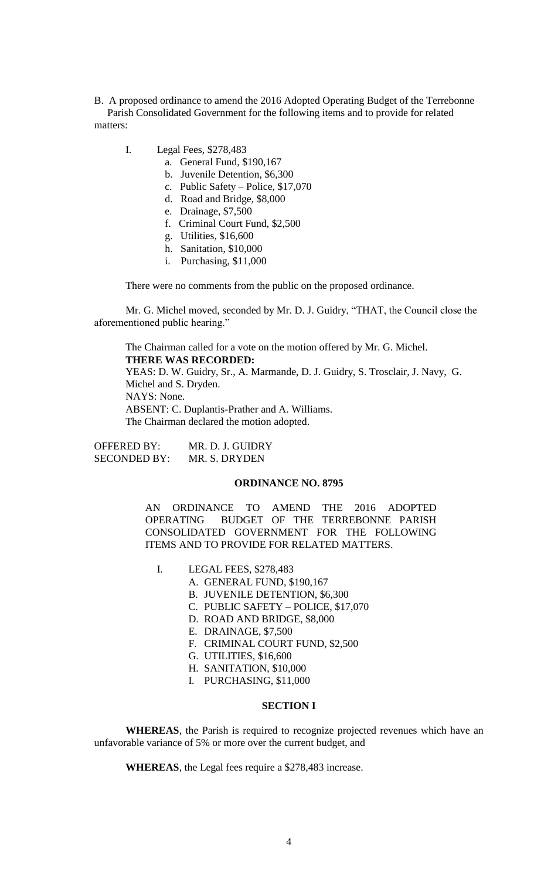B. A proposed ordinance to amend the 2016 Adopted Operating Budget of the Terrebonne Parish Consolidated Government for the following items and to provide for related matters:

- I. Legal Fees, \$278,483
	- a. General Fund, \$190,167
	- b. Juvenile Detention, \$6,300
	- c. Public Safety Police, \$17,070
	- d. Road and Bridge, \$8,000
	- e. Drainage, \$7,500
	- f. Criminal Court Fund, \$2,500
	- g. Utilities, \$16,600
	- h. Sanitation, \$10,000
	- i. Purchasing, \$11,000

There were no comments from the public on the proposed ordinance.

Mr. G. Michel moved, seconded by Mr. D. J. Guidry, "THAT, the Council close the aforementioned public hearing."

The Chairman called for a vote on the motion offered by Mr. G. Michel. **THERE WAS RECORDED:** YEAS: D. W. Guidry, Sr., A. Marmande, D. J. Guidry, S. Trosclair, J. Navy, G. Michel and S. Dryden. NAYS: None. ABSENT: C. Duplantis-Prather and A. Williams. The Chairman declared the motion adopted.

| <b>OFFERED BY:</b>  | MR. D. J. GUIDRY |
|---------------------|------------------|
| <b>SECONDED BY:</b> | MR. S. DRYDEN    |

#### **ORDINANCE NO. 8795**

AN ORDINANCE TO AMEND THE 2016 ADOPTED OPERATING BUDGET OF THE TERREBONNE PARISH CONSOLIDATED GOVERNMENT FOR THE FOLLOWING ITEMS AND TO PROVIDE FOR RELATED MATTERS.

- I. LEGAL FEES, \$278,483
	- A. GENERAL FUND, \$190,167
	- B. JUVENILE DETENTION, \$6,300
	- C. PUBLIC SAFETY POLICE, \$17,070
	- D. ROAD AND BRIDGE, \$8,000
	- E. DRAINAGE, \$7,500
	- F. CRIMINAL COURT FUND, \$2,500
	- G. UTILITIES, \$16,600
	- H. SANITATION, \$10,000
	- I. PURCHASING, \$11,000

### **SECTION I**

**WHEREAS**, the Parish is required to recognize projected revenues which have an unfavorable variance of 5% or more over the current budget, and

**WHEREAS**, the Legal fees require a \$278,483 increase.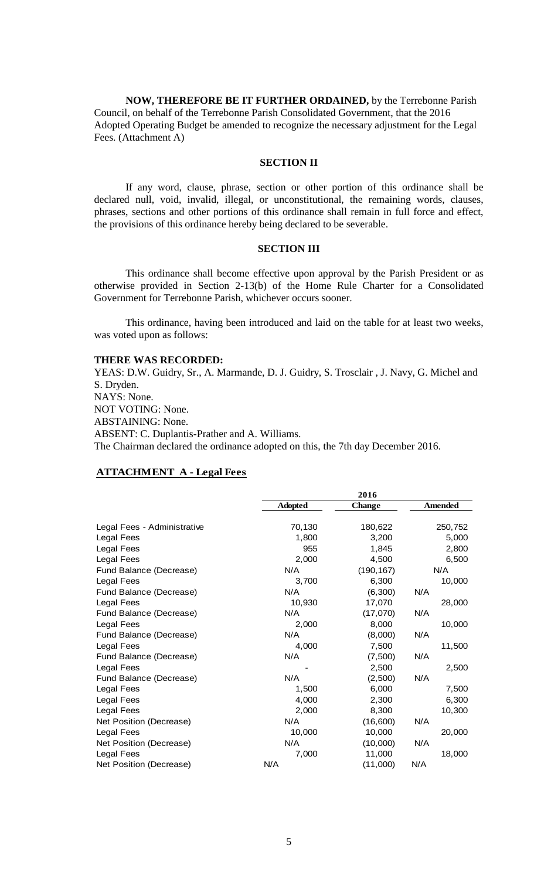**NOW, THEREFORE BE IT FURTHER ORDAINED,** by the Terrebonne Parish Council, on behalf of the Terrebonne Parish Consolidated Government, that the 2016 Adopted Operating Budget be amended to recognize the necessary adjustment for the Legal Fees. (Attachment A)

## **SECTION II**

If any word, clause, phrase, section or other portion of this ordinance shall be declared null, void, invalid, illegal, or unconstitutional, the remaining words, clauses, phrases, sections and other portions of this ordinance shall remain in full force and effect, the provisions of this ordinance hereby being declared to be severable.

# **SECTION III**

This ordinance shall become effective upon approval by the Parish President or as otherwise provided in Section 2-13(b) of the Home Rule Charter for a Consolidated Government for Terrebonne Parish, whichever occurs sooner.

This ordinance, having been introduced and laid on the table for at least two weeks, was voted upon as follows:

#### **THERE WAS RECORDED:**

YEAS: D.W. Guidry, Sr., A. Marmande, D. J. Guidry, S. Trosclair , J. Navy, G. Michel and S. Dryden. NAYS: None. NOT VOTING: None. ABSTAINING: None. ABSENT: C. Duplantis-Prather and A. Williams. The Chairman declared the ordinance adopted on this, the 7th day December 2016.

**2016**

# **ATTACHMENT A - Legal Fees**

|                             |                | 2016          |                |
|-----------------------------|----------------|---------------|----------------|
|                             | <b>Adopted</b> | <b>Change</b> | <b>Amended</b> |
|                             |                |               |                |
| Legal Fees - Administrative | 70,130         | 180,622       | 250,752        |
| Legal Fees                  | 1,800          | 3,200         | 5,000          |
| Legal Fees                  | 955            | 1,845         | 2,800          |
| Legal Fees                  | 2,000          | 4,500         | 6,500          |
| Fund Balance (Decrease)     | N/A            | (190, 167)    | N/A            |
| Legal Fees                  | 3,700          | 6,300         | 10,000         |
| Fund Balance (Decrease)     | N/A            | (6,300)       | N/A            |
| Legal Fees                  | 10,930         | 17,070        | 28,000         |
| Fund Balance (Decrease)     | N/A            | (17,070)      | N/A            |
| Legal Fees                  | 2,000          | 8,000         | 10,000         |
| Fund Balance (Decrease)     | N/A            | (8,000)       | N/A            |
| Legal Fees                  | 4,000          | 7,500         | 11,500         |
| Fund Balance (Decrease)     | N/A            | (7,500)       | N/A            |
| Legal Fees                  |                | 2,500         | 2,500          |
| Fund Balance (Decrease)     | N/A            | (2,500)       | N/A            |
| Legal Fees                  | 1,500          | 6,000         | 7,500          |
| Legal Fees                  | 4,000          | 2,300         | 6,300          |
| Legal Fees                  | 2,000          | 8,300         | 10,300         |
| Net Position (Decrease)     | N/A            | (16, 600)     | N/A            |
| Legal Fees                  | 10,000         | 10,000        | 20,000         |
| Net Position (Decrease)     | N/A            | (10,000)      | N/A            |
| Legal Fees                  | 7,000          | 11,000        | 18,000         |
| Net Position (Decrease)     | N/A            | (11,000)      | N/A            |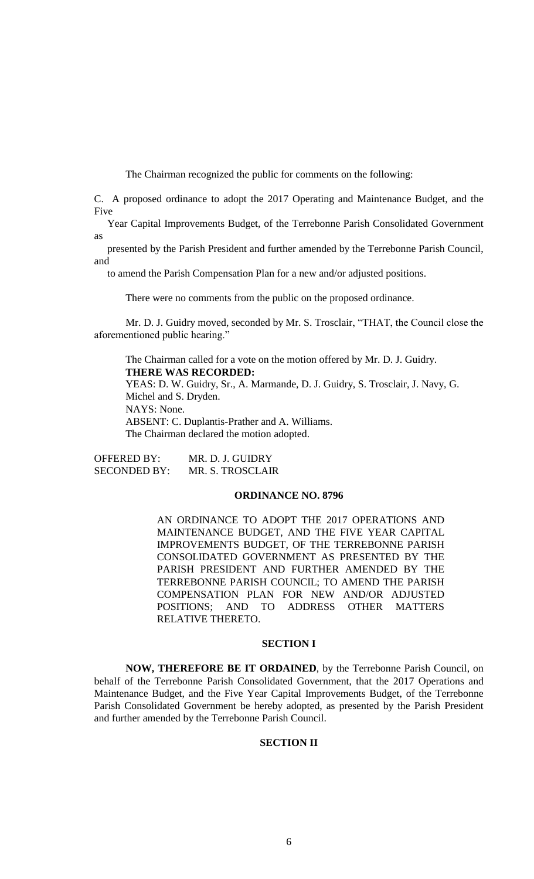The Chairman recognized the public for comments on the following:

C. A proposed ordinance to adopt the 2017 Operating and Maintenance Budget, and the Five

 Year Capital Improvements Budget, of the Terrebonne Parish Consolidated Government as

 presented by the Parish President and further amended by the Terrebonne Parish Council, and

to amend the Parish Compensation Plan for a new and/or adjusted positions.

There were no comments from the public on the proposed ordinance.

Mr. D. J. Guidry moved, seconded by Mr. S. Trosclair, "THAT, the Council close the aforementioned public hearing."

The Chairman called for a vote on the motion offered by Mr. D. J. Guidry. **THERE WAS RECORDED:** YEAS: D. W. Guidry, Sr., A. Marmande, D. J. Guidry, S. Trosclair, J. Navy, G. Michel and S. Dryden. NAYS: None. ABSENT: C. Duplantis-Prather and A. Williams.

The Chairman declared the motion adopted.

OFFERED BY: MR. D. J. GUIDRY SECONDED BY: MR. S. TROSCLAIR

### **ORDINANCE NO. 8796**

AN ORDINANCE TO ADOPT THE 2017 OPERATIONS AND MAINTENANCE BUDGET, AND THE FIVE YEAR CAPITAL IMPROVEMENTS BUDGET, OF THE TERREBONNE PARISH CONSOLIDATED GOVERNMENT AS PRESENTED BY THE PARISH PRESIDENT AND FURTHER AMENDED BY THE TERREBONNE PARISH COUNCIL; TO AMEND THE PARISH COMPENSATION PLAN FOR NEW AND/OR ADJUSTED POSITIONS; AND TO ADDRESS OTHER MATTERS RELATIVE THERETO.

## **SECTION I**

**NOW, THEREFORE BE IT ORDAINED**, by the Terrebonne Parish Council, on behalf of the Terrebonne Parish Consolidated Government, that the 2017 Operations and Maintenance Budget, and the Five Year Capital Improvements Budget, of the Terrebonne Parish Consolidated Government be hereby adopted, as presented by the Parish President and further amended by the Terrebonne Parish Council.

## **SECTION II**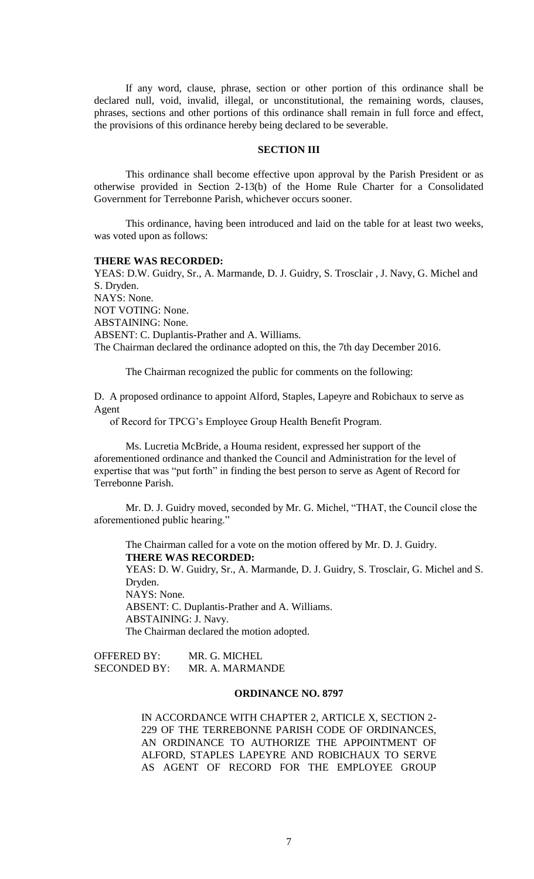If any word, clause, phrase, section or other portion of this ordinance shall be declared null, void, invalid, illegal, or unconstitutional, the remaining words, clauses, phrases, sections and other portions of this ordinance shall remain in full force and effect, the provisions of this ordinance hereby being declared to be severable.

### **SECTION III**

This ordinance shall become effective upon approval by the Parish President or as otherwise provided in Section 2-13(b) of the Home Rule Charter for a Consolidated Government for Terrebonne Parish, whichever occurs sooner.

This ordinance, having been introduced and laid on the table for at least two weeks, was voted upon as follows:

#### **THERE WAS RECORDED:**

YEAS: D.W. Guidry, Sr., A. Marmande, D. J. Guidry, S. Trosclair , J. Navy, G. Michel and S. Dryden. NAYS: None. NOT VOTING: None. ABSTAINING: None. ABSENT: C. Duplantis-Prather and A. Williams. The Chairman declared the ordinance adopted on this, the 7th day December 2016.

The Chairman recognized the public for comments on the following:

D. A proposed ordinance to appoint Alford, Staples, Lapeyre and Robichaux to serve as Agent

of Record for TPCG's Employee Group Health Benefit Program.

Ms. Lucretia McBride, a Houma resident, expressed her support of the aforementioned ordinance and thanked the Council and Administration for the level of expertise that was "put forth" in finding the best person to serve as Agent of Record for Terrebonne Parish.

Mr. D. J. Guidry moved, seconded by Mr. G. Michel, "THAT, the Council close the aforementioned public hearing."

The Chairman called for a vote on the motion offered by Mr. D. J. Guidry. **THERE WAS RECORDED:** YEAS: D. W. Guidry, Sr., A. Marmande, D. J. Guidry, S. Trosclair, G. Michel and S. Dryden. NAYS: None. ABSENT: C. Duplantis-Prather and A. Williams. ABSTAINING: J. Navy. The Chairman declared the motion adopted.

OFFERED BY: MR. G. MICHEL SECONDED BY: MR. A. MARMANDE

## **ORDINANCE NO. 8797**

IN ACCORDANCE WITH CHAPTER 2, ARTICLE X, SECTION 2- 229 OF THE TERREBONNE PARISH CODE OF ORDINANCES, AN ORDINANCE TO AUTHORIZE THE APPOINTMENT OF ALFORD, STAPLES LAPEYRE AND ROBICHAUX TO SERVE AS AGENT OF RECORD FOR THE EMPLOYEE GROUP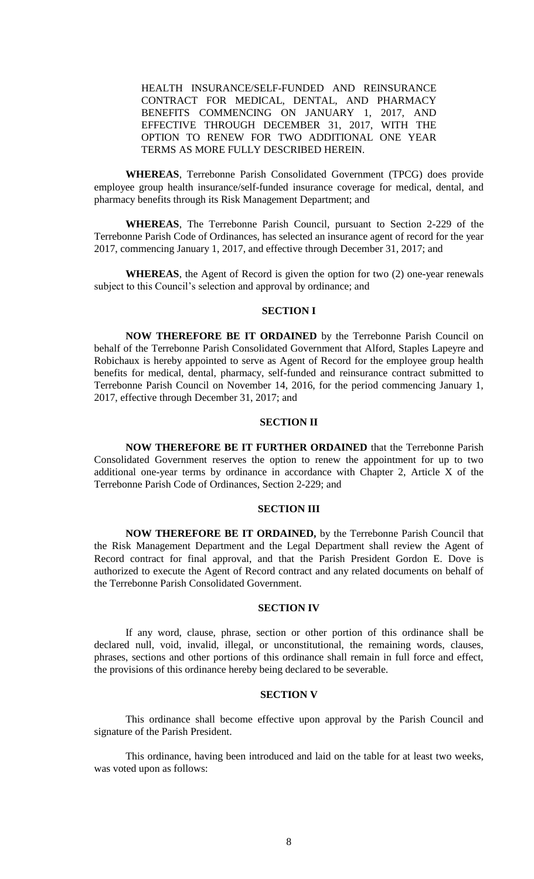HEALTH INSURANCE/SELF-FUNDED AND REINSURANCE CONTRACT FOR MEDICAL, DENTAL, AND PHARMACY BENEFITS COMMENCING ON JANUARY 1, 2017, AND EFFECTIVE THROUGH DECEMBER 31, 2017, WITH THE OPTION TO RENEW FOR TWO ADDITIONAL ONE YEAR TERMS AS MORE FULLY DESCRIBED HEREIN.

**WHEREAS**, Terrebonne Parish Consolidated Government (TPCG) does provide employee group health insurance/self-funded insurance coverage for medical, dental, and pharmacy benefits through its Risk Management Department; and

**WHEREAS**, The Terrebonne Parish Council, pursuant to Section 2-229 of the Terrebonne Parish Code of Ordinances, has selected an insurance agent of record for the year 2017, commencing January 1, 2017, and effective through December 31, 2017; and

**WHEREAS**, the Agent of Record is given the option for two (2) one-year renewals subject to this Council's selection and approval by ordinance; and

## **SECTION I**

**NOW THEREFORE BE IT ORDAINED** by the Terrebonne Parish Council on behalf of the Terrebonne Parish Consolidated Government that Alford, Staples Lapeyre and Robichaux is hereby appointed to serve as Agent of Record for the employee group health benefits for medical, dental, pharmacy, self-funded and reinsurance contract submitted to Terrebonne Parish Council on November 14, 2016, for the period commencing January 1, 2017, effective through December 31, 2017; and

### **SECTION II**

**NOW THEREFORE BE IT FURTHER ORDAINED** that the Terrebonne Parish Consolidated Government reserves the option to renew the appointment for up to two additional one-year terms by ordinance in accordance with Chapter 2, Article X of the Terrebonne Parish Code of Ordinances, Section 2-229; and

#### **SECTION III**

**NOW THEREFORE BE IT ORDAINED,** by the Terrebonne Parish Council that the Risk Management Department and the Legal Department shall review the Agent of Record contract for final approval, and that the Parish President Gordon E. Dove is authorized to execute the Agent of Record contract and any related documents on behalf of the Terrebonne Parish Consolidated Government.

## **SECTION IV**

If any word, clause, phrase, section or other portion of this ordinance shall be declared null, void, invalid, illegal, or unconstitutional, the remaining words, clauses, phrases, sections and other portions of this ordinance shall remain in full force and effect, the provisions of this ordinance hereby being declared to be severable.

# **SECTION V**

This ordinance shall become effective upon approval by the Parish Council and signature of the Parish President.

This ordinance, having been introduced and laid on the table for at least two weeks, was voted upon as follows: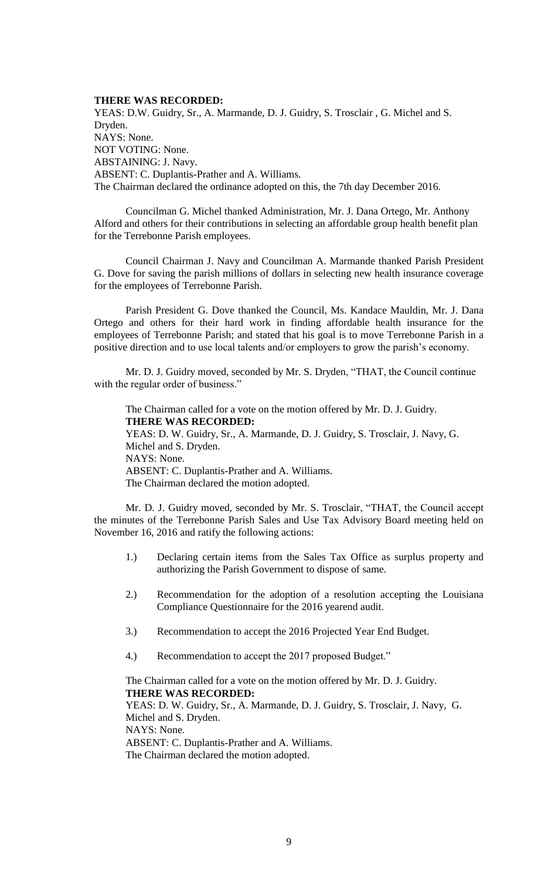### **THERE WAS RECORDED:**

YEAS: D.W. Guidry, Sr., A. Marmande, D. J. Guidry, S. Trosclair , G. Michel and S. Dryden. NAYS: None. NOT VOTING: None. ABSTAINING: J. Navy. ABSENT: C. Duplantis-Prather and A. Williams. The Chairman declared the ordinance adopted on this, the 7th day December 2016.

Councilman G. Michel thanked Administration, Mr. J. Dana Ortego, Mr. Anthony Alford and others for their contributions in selecting an affordable group health benefit plan for the Terrebonne Parish employees.

Council Chairman J. Navy and Councilman A. Marmande thanked Parish President G. Dove for saving the parish millions of dollars in selecting new health insurance coverage for the employees of Terrebonne Parish.

Parish President G. Dove thanked the Council, Ms. Kandace Mauldin, Mr. J. Dana Ortego and others for their hard work in finding affordable health insurance for the employees of Terrebonne Parish; and stated that his goal is to move Terrebonne Parish in a positive direction and to use local talents and/or employers to grow the parish's economy.

Mr. D. J. Guidry moved, seconded by Mr. S. Dryden, "THAT, the Council continue with the regular order of business."

The Chairman called for a vote on the motion offered by Mr. D. J. Guidry. **THERE WAS RECORDED:** YEAS: D. W. Guidry, Sr., A. Marmande, D. J. Guidry, S. Trosclair, J. Navy, G. Michel and S. Dryden. NAYS: None. ABSENT: C. Duplantis-Prather and A. Williams. The Chairman declared the motion adopted.

Mr. D. J. Guidry moved, seconded by Mr. S. Trosclair, "THAT, the Council accept the minutes of the Terrebonne Parish Sales and Use Tax Advisory Board meeting held on November 16, 2016 and ratify the following actions:

- 1.) Declaring certain items from the Sales Tax Office as surplus property and authorizing the Parish Government to dispose of same.
- 2.) Recommendation for the adoption of a resolution accepting the Louisiana Compliance Questionnaire for the 2016 yearend audit.
- 3.) Recommendation to accept the 2016 Projected Year End Budget.
- 4.) Recommendation to accept the 2017 proposed Budget."

The Chairman called for a vote on the motion offered by Mr. D. J. Guidry. **THERE WAS RECORDED:**

YEAS: D. W. Guidry, Sr., A. Marmande, D. J. Guidry, S. Trosclair, J. Navy, G. Michel and S. Dryden. NAYS: None. ABSENT: C. Duplantis-Prather and A. Williams. The Chairman declared the motion adopted.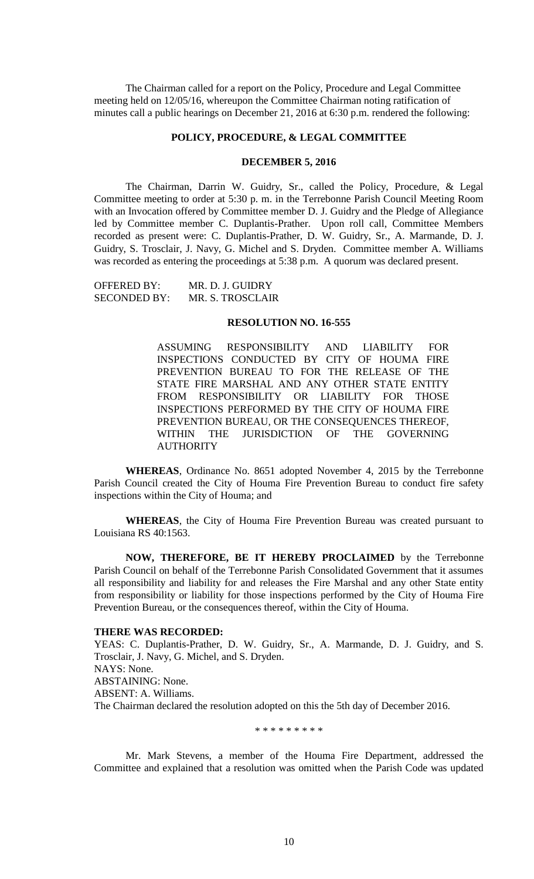The Chairman called for a report on the Policy, Procedure and Legal Committee meeting held on 12/05/16, whereupon the Committee Chairman noting ratification of minutes call a public hearings on December 21, 2016 at 6:30 p.m. rendered the following:

### **POLICY, PROCEDURE, & LEGAL COMMITTEE**

### **DECEMBER 5, 2016**

The Chairman, Darrin W. Guidry, Sr., called the Policy, Procedure, & Legal Committee meeting to order at 5:30 p. m. in the Terrebonne Parish Council Meeting Room with an Invocation offered by Committee member D. J. Guidry and the Pledge of Allegiance led by Committee member C. Duplantis-Prather. Upon roll call, Committee Members recorded as present were: C. Duplantis-Prather, D. W. Guidry, Sr., A. Marmande, D. J. Guidry, S. Trosclair, J. Navy, G. Michel and S. Dryden. Committee member A. Williams was recorded as entering the proceedings at 5:38 p.m. A quorum was declared present.

OFFERED BY: MR. D. J. GUIDRY SECONDED BY: MR. S. TROSCLAIR

#### **RESOLUTION NO. 16-555**

ASSUMING RESPONSIBILITY AND LIABILITY FOR INSPECTIONS CONDUCTED BY CITY OF HOUMA FIRE PREVENTION BUREAU TO FOR THE RELEASE OF THE STATE FIRE MARSHAL AND ANY OTHER STATE ENTITY FROM RESPONSIBILITY OR LIABILITY FOR THOSE INSPECTIONS PERFORMED BY THE CITY OF HOUMA FIRE PREVENTION BUREAU, OR THE CONSEQUENCES THEREOF, WITHIN THE JURISDICTION OF THE GOVERNING **AUTHORITY** 

**WHEREAS**, Ordinance No. 8651 adopted November 4, 2015 by the Terrebonne Parish Council created the City of Houma Fire Prevention Bureau to conduct fire safety inspections within the City of Houma; and

**WHEREAS**, the City of Houma Fire Prevention Bureau was created pursuant to Louisiana RS 40:1563.

**NOW, THEREFORE, BE IT HEREBY PROCLAIMED** by the Terrebonne Parish Council on behalf of the Terrebonne Parish Consolidated Government that it assumes all responsibility and liability for and releases the Fire Marshal and any other State entity from responsibility or liability for those inspections performed by the City of Houma Fire Prevention Bureau, or the consequences thereof, within the City of Houma.

#### **THERE WAS RECORDED:**

YEAS: C. Duplantis-Prather, D. W. Guidry, Sr., A. Marmande, D. J. Guidry, and S. Trosclair, J. Navy, G. Michel, and S. Dryden. NAYS: None. ABSTAINING: None. ABSENT: A. Williams. The Chairman declared the resolution adopted on this the 5th day of December 2016.

\* \* \* \* \* \* \* \* \*

Mr. Mark Stevens, a member of the Houma Fire Department, addressed the Committee and explained that a resolution was omitted when the Parish Code was updated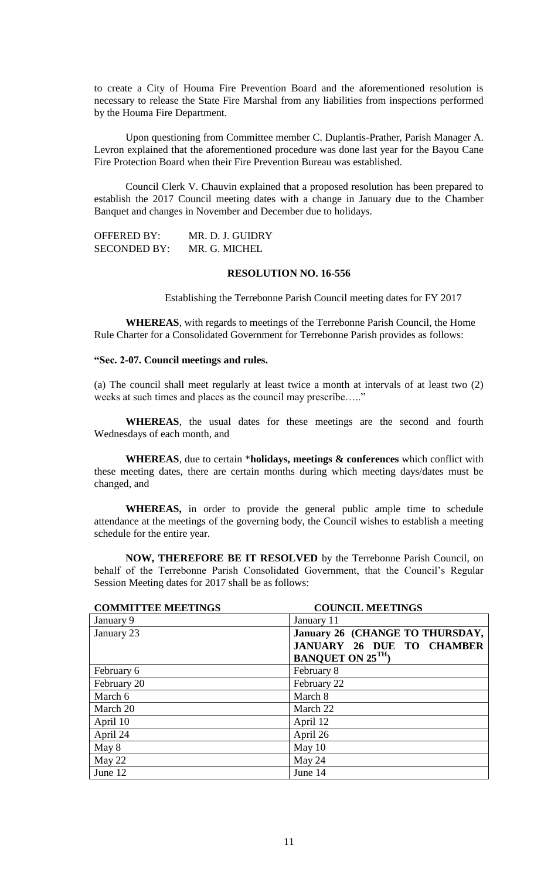to create a City of Houma Fire Prevention Board and the aforementioned resolution is necessary to release the State Fire Marshal from any liabilities from inspections performed by the Houma Fire Department.

Upon questioning from Committee member C. Duplantis-Prather, Parish Manager A. Levron explained that the aforementioned procedure was done last year for the Bayou Cane Fire Protection Board when their Fire Prevention Bureau was established.

Council Clerk V. Chauvin explained that a proposed resolution has been prepared to establish the 2017 Council meeting dates with a change in January due to the Chamber Banquet and changes in November and December due to holidays.

OFFERED BY: MR. D. J. GUIDRY SECONDED BY: MR. G. MICHEL

# **RESOLUTION NO. 16-556**

Establishing the Terrebonne Parish Council meeting dates for FY 2017

**WHEREAS**, with regards to meetings of the Terrebonne Parish Council, the Home Rule Charter for a Consolidated Government for Terrebonne Parish provides as follows:

### **"Sec. 2-07. Council meetings and rules.**

(a) The council shall meet regularly at least twice a month at intervals of at least two (2) weeks at such times and places as the council may prescribe….."

**WHEREAS**, the usual dates for these meetings are the second and fourth Wednesdays of each month, and

**WHEREAS**, due to certain \***holidays, meetings & conferences** which conflict with these meeting dates, there are certain months during which meeting days/dates must be changed, and

**WHEREAS,** in order to provide the general public ample time to schedule attendance at the meetings of the governing body, the Council wishes to establish a meeting schedule for the entire year.

**NOW, THEREFORE BE IT RESOLVED** by the Terrebonne Parish Council, on behalf of the Terrebonne Parish Consolidated Government, that the Council's Regular Session Meeting dates for 2017 shall be as follows:

| <b>COMMITTEE MEETINGS</b> | <b>COUNCIL MEETINGS</b>          |
|---------------------------|----------------------------------|
| January 9                 | January 11                       |
| January 23                | January 26 (CHANGE TO THURSDAY,  |
|                           | <b>JANUARY 26 DUE TO CHAMBER</b> |
|                           | <b>BANQUET ON 25TH</b> )         |
| February 6                | February 8                       |
| February 20               | February 22                      |
| March 6                   | March 8                          |
| March 20                  | March 22                         |
| April 10                  | April 12                         |
| April 24                  | April 26                         |
| May 8                     | May 10                           |
| May 22                    | May 24                           |
| June 12                   | June 14                          |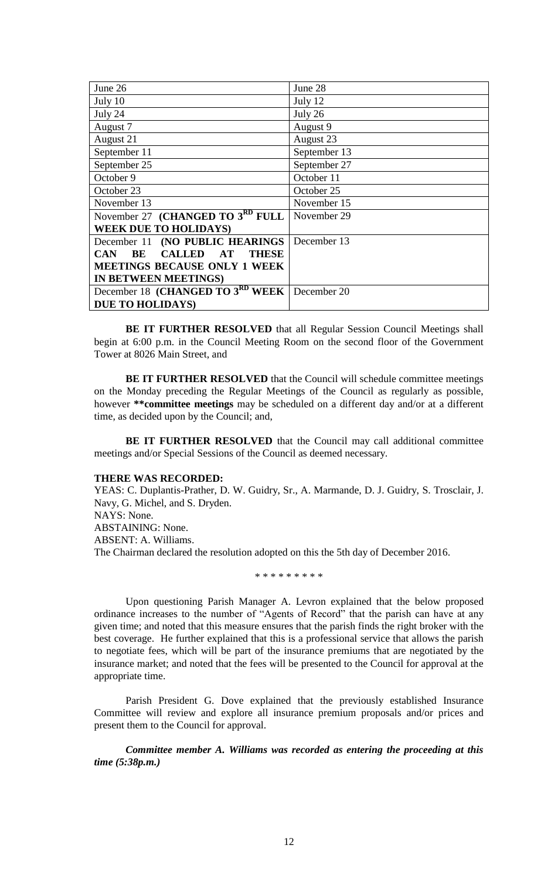| June 26                                                       | June 28      |
|---------------------------------------------------------------|--------------|
| July 10                                                       | July 12      |
| July 24                                                       | July 26      |
| August 7                                                      | August 9     |
| August 21                                                     | August 23    |
| September 11                                                  | September 13 |
| September 25                                                  | September 27 |
| October 9                                                     | October 11   |
| October 23                                                    | October 25   |
| November 13                                                   | November 15  |
| November 27 (CHANGED TO $3RD$ FULL                            | November 29  |
| <b>WEEK DUE TO HOLIDAYS)</b>                                  |              |
| December 11 (NO PUBLIC HEARINGS                               | December 13  |
| <b>CALLED</b><br><b>THESE</b><br>BE<br>$\bf AT$<br><b>CAN</b> |              |
| <b>MEETINGS BECAUSE ONLY 1 WEEK</b>                           |              |
| IN BETWEEN MEETINGS)                                          |              |
| December 18 (CHANGED TO 3RD WEEK December 20                  |              |
| <b>DUE TO HOLIDAYS)</b>                                       |              |

**BE IT FURTHER RESOLVED** that all Regular Session Council Meetings shall begin at 6:00 p.m. in the Council Meeting Room on the second floor of the Government Tower at 8026 Main Street, and

**BE IT FURTHER RESOLVED** that the Council will schedule committee meetings on the Monday preceding the Regular Meetings of the Council as regularly as possible, however **\*\*committee meetings** may be scheduled on a different day and/or at a different time, as decided upon by the Council; and,

**BE IT FURTHER RESOLVED** that the Council may call additional committee meetings and/or Special Sessions of the Council as deemed necessary.

#### **THERE WAS RECORDED:**

YEAS: C. Duplantis-Prather, D. W. Guidry, Sr., A. Marmande, D. J. Guidry, S. Trosclair, J. Navy, G. Michel, and S. Dryden. NAYS: None. ABSTAINING: None. ABSENT: A. Williams. The Chairman declared the resolution adopted on this the 5th day of December 2016.

\* \* \* \* \* \* \* \* \*

Upon questioning Parish Manager A. Levron explained that the below proposed ordinance increases to the number of "Agents of Record" that the parish can have at any given time; and noted that this measure ensures that the parish finds the right broker with the best coverage. He further explained that this is a professional service that allows the parish to negotiate fees, which will be part of the insurance premiums that are negotiated by the insurance market; and noted that the fees will be presented to the Council for approval at the appropriate time.

Parish President G. Dove explained that the previously established Insurance Committee will review and explore all insurance premium proposals and/or prices and present them to the Council for approval.

*Committee member A. Williams was recorded as entering the proceeding at this time (5:38p.m.)*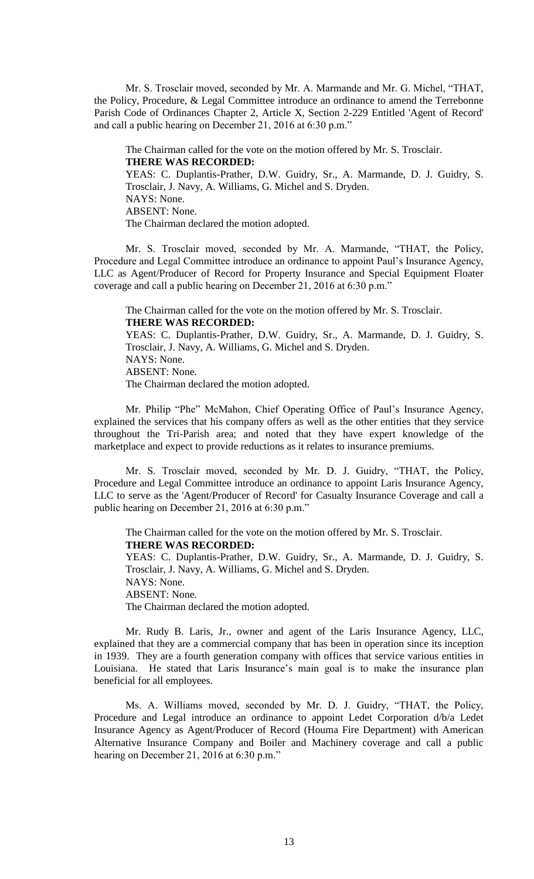Mr. S. Trosclair moved, seconded by Mr. A. Marmande and Mr. G. Michel, "THAT, the Policy, Procedure, & Legal Committee introduce an ordinance to amend the Terrebonne Parish Code of Ordinances Chapter 2, Article X, Section 2-229 Entitled 'Agent of Record' and call a public hearing on December 21, 2016 at 6:30 p.m."

The Chairman called for the vote on the motion offered by Mr. S. Trosclair. **THERE WAS RECORDED:** YEAS: C. Duplantis-Prather, D.W. Guidry, Sr., A. Marmande, D. J. Guidry, S. Trosclair, J. Navy, A. Williams, G. Michel and S. Dryden. NAYS: None. ABSENT: None. The Chairman declared the motion adopted.

Mr. S. Trosclair moved, seconded by Mr. A. Marmande, "THAT, the Policy, Procedure and Legal Committee introduce an ordinance to appoint Paul's Insurance Agency, LLC as Agent/Producer of Record for Property Insurance and Special Equipment Floater coverage and call a public hearing on December 21, 2016 at 6:30 p.m."

The Chairman called for the vote on the motion offered by Mr. S. Trosclair. **THERE WAS RECORDED:** YEAS: C. Duplantis-Prather, D.W. Guidry, Sr., A. Marmande, D. J. Guidry, S.

Trosclair, J. Navy, A. Williams, G. Michel and S. Dryden. NAYS: None. ABSENT: None. The Chairman declared the motion adopted.

Mr. Philip "Phe" McMahon, Chief Operating Office of Paul's Insurance Agency, explained the services that his company offers as well as the other entities that they service throughout the Tri-Parish area; and noted that they have expert knowledge of the marketplace and expect to provide reductions as it relates to insurance premiums.

Mr. S. Trosclair moved, seconded by Mr. D. J. Guidry, "THAT, the Policy, Procedure and Legal Committee introduce an ordinance to appoint Laris Insurance Agency, LLC to serve as the 'Agent/Producer of Record' for Casualty Insurance Coverage and call a public hearing on December 21, 2016 at 6:30 p.m."

The Chairman called for the vote on the motion offered by Mr. S. Trosclair. **THERE WAS RECORDED:** YEAS: C. Duplantis-Prather, D.W. Guidry, Sr., A. Marmande, D. J. Guidry, S. Trosclair, J. Navy, A. Williams, G. Michel and S. Dryden. NAYS: None. ABSENT: None. The Chairman declared the motion adopted.

Mr. Rudy B. Laris, Jr., owner and agent of the Laris Insurance Agency, LLC, explained that they are a commercial company that has been in operation since its inception in 1939. They are a fourth generation company with offices that service various entities in Louisiana. He stated that Laris Insurance's main goal is to make the insurance plan beneficial for all employees.

Ms. A. Williams moved, seconded by Mr. D. J. Guidry, "THAT, the Policy, Procedure and Legal introduce an ordinance to appoint Ledet Corporation d/b/a Ledet Insurance Agency as Agent/Producer of Record (Houma Fire Department) with American Alternative Insurance Company and Boiler and Machinery coverage and call a public hearing on December 21, 2016 at 6:30 p.m."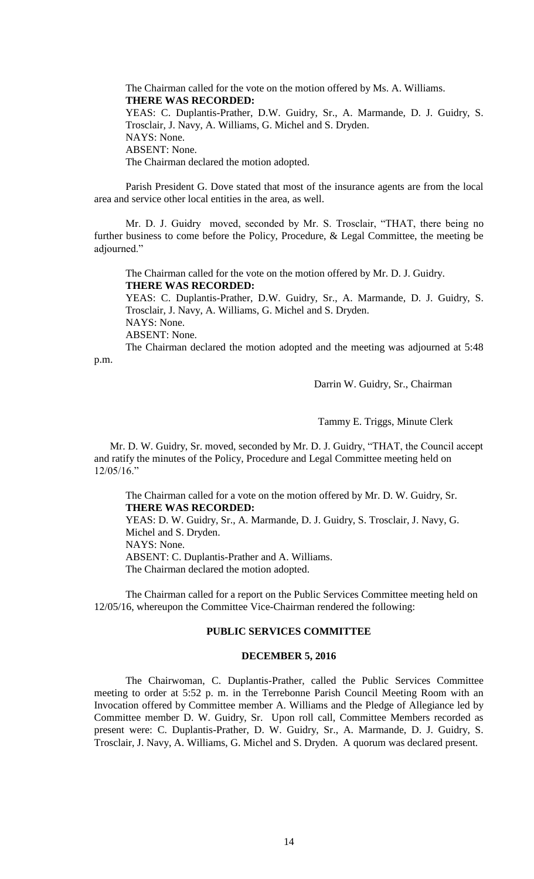The Chairman called for the vote on the motion offered by Ms. A. Williams. **THERE WAS RECORDED:** YEAS: C. Duplantis-Prather, D.W. Guidry, Sr., A. Marmande, D. J. Guidry, S. Trosclair, J. Navy, A. Williams, G. Michel and S. Dryden. NAYS: None. ABSENT: None. The Chairman declared the motion adopted.

Parish President G. Dove stated that most of the insurance agents are from the local area and service other local entities in the area, as well.

Mr. D. J. Guidry moved, seconded by Mr. S. Trosclair, "THAT, there being no further business to come before the Policy, Procedure, & Legal Committee, the meeting be adjourned."

The Chairman called for the vote on the motion offered by Mr. D. J. Guidry. **THERE WAS RECORDED:** YEAS: C. Duplantis-Prather, D.W. Guidry, Sr., A. Marmande, D. J. Guidry, S.

Trosclair, J. Navy, A. Williams, G. Michel and S. Dryden. NAYS: None. ABSENT: None. The Chairman declared the motion adopted and the meeting was adjourned at 5:48

p.m.

Darrin W. Guidry, Sr., Chairman

Tammy E. Triggs, Minute Clerk

Mr. D. W. Guidry, Sr. moved, seconded by Mr. D. J. Guidry, "THAT, the Council accept and ratify the minutes of the Policy, Procedure and Legal Committee meeting held on 12/05/16."

The Chairman called for a vote on the motion offered by Mr. D. W. Guidry, Sr. **THERE WAS RECORDED:**

YEAS: D. W. Guidry, Sr., A. Marmande, D. J. Guidry, S. Trosclair, J. Navy, G. Michel and S. Dryden. NAYS: None. ABSENT: C. Duplantis-Prather and A. Williams.

The Chairman declared the motion adopted.

The Chairman called for a report on the Public Services Committee meeting held on 12/05/16, whereupon the Committee Vice-Chairman rendered the following:

# **PUBLIC SERVICES COMMITTEE**

## **DECEMBER 5, 2016**

The Chairwoman, C. Duplantis-Prather, called the Public Services Committee meeting to order at 5:52 p. m. in the Terrebonne Parish Council Meeting Room with an Invocation offered by Committee member A. Williams and the Pledge of Allegiance led by Committee member D. W. Guidry, Sr. Upon roll call, Committee Members recorded as present were: C. Duplantis-Prather, D. W. Guidry, Sr., A. Marmande, D. J. Guidry, S. Trosclair, J. Navy, A. Williams, G. Michel and S. Dryden. A quorum was declared present.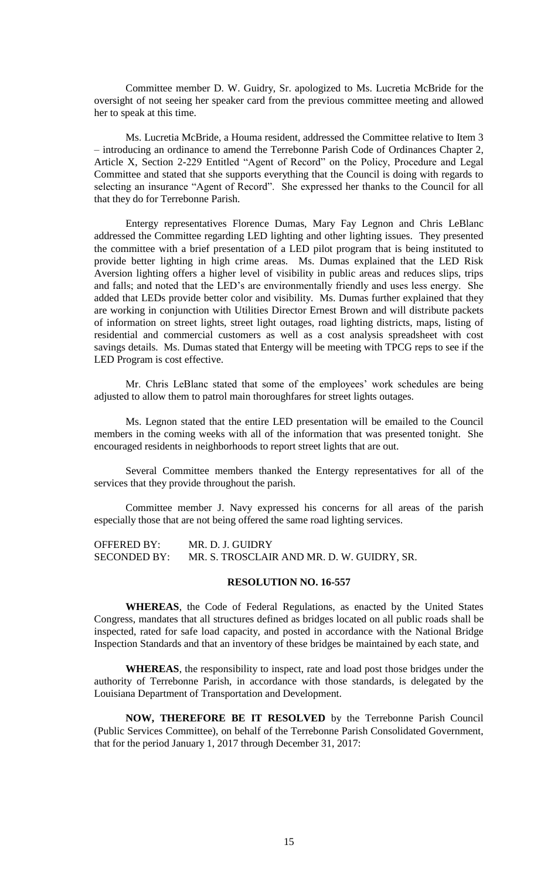Committee member D. W. Guidry, Sr. apologized to Ms. Lucretia McBride for the oversight of not seeing her speaker card from the previous committee meeting and allowed her to speak at this time.

Ms. Lucretia McBride, a Houma resident, addressed the Committee relative to Item 3 – introducing an ordinance to amend the Terrebonne Parish Code of Ordinances Chapter 2, Article X, Section 2-229 Entitled "Agent of Record" on the Policy, Procedure and Legal Committee and stated that she supports everything that the Council is doing with regards to selecting an insurance "Agent of Record". She expressed her thanks to the Council for all that they do for Terrebonne Parish.

Entergy representatives Florence Dumas, Mary Fay Legnon and Chris LeBlanc addressed the Committee regarding LED lighting and other lighting issues. They presented the committee with a brief presentation of a LED pilot program that is being instituted to provide better lighting in high crime areas. Ms. Dumas explained that the LED Risk Aversion lighting offers a higher level of visibility in public areas and reduces slips, trips and falls; and noted that the LED's are environmentally friendly and uses less energy. She added that LEDs provide better color and visibility. Ms. Dumas further explained that they are working in conjunction with Utilities Director Ernest Brown and will distribute packets of information on street lights, street light outages, road lighting districts, maps, listing of residential and commercial customers as well as a cost analysis spreadsheet with cost savings details. Ms. Dumas stated that Entergy will be meeting with TPCG reps to see if the LED Program is cost effective.

Mr. Chris LeBlanc stated that some of the employees' work schedules are being adjusted to allow them to patrol main thoroughfares for street lights outages.

Ms. Legnon stated that the entire LED presentation will be emailed to the Council members in the coming weeks with all of the information that was presented tonight. She encouraged residents in neighborhoods to report street lights that are out.

Several Committee members thanked the Entergy representatives for all of the services that they provide throughout the parish.

Committee member J. Navy expressed his concerns for all areas of the parish especially those that are not being offered the same road lighting services.

OFFERED BY: MR. D. J. GUIDRY SECONDED BY: MR. S. TROSCLAIR AND MR. D. W. GUIDRY, SR.

#### **RESOLUTION NO. 16-557**

**WHEREAS**, the Code of Federal Regulations, as enacted by the United States Congress, mandates that all structures defined as bridges located on all public roads shall be inspected, rated for safe load capacity, and posted in accordance with the National Bridge Inspection Standards and that an inventory of these bridges be maintained by each state, and

**WHEREAS**, the responsibility to inspect, rate and load post those bridges under the authority of Terrebonne Parish, in accordance with those standards, is delegated by the Louisiana Department of Transportation and Development.

**NOW, THEREFORE BE IT RESOLVED** by the Terrebonne Parish Council (Public Services Committee), on behalf of the Terrebonne Parish Consolidated Government, that for the period January 1, 2017 through December 31, 2017: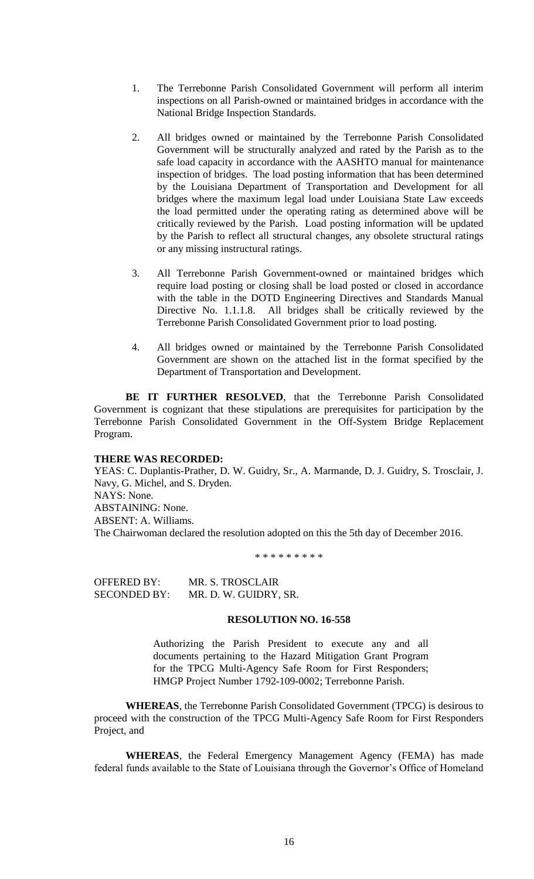- 1. The Terrebonne Parish Consolidated Government will perform all interim inspections on all Parish-owned or maintained bridges in accordance with the National Bridge Inspection Standards.
- 2. All bridges owned or maintained by the Terrebonne Parish Consolidated Government will be structurally analyzed and rated by the Parish as to the safe load capacity in accordance with the AASHTO manual for maintenance inspection of bridges. The load posting information that has been determined by the Louisiana Department of Transportation and Development for all bridges where the maximum legal load under Louisiana State Law exceeds the load permitted under the operating rating as determined above will be critically reviewed by the Parish. Load posting information will be updated by the Parish to reflect all structural changes, any obsolete structural ratings or any missing instructural ratings.
- 3. All Terrebonne Parish Government-owned or maintained bridges which require load posting or closing shall be load posted or closed in accordance with the table in the DOTD Engineering Directives and Standards Manual Directive No. 1.1.1.8. All bridges shall be critically reviewed by the Terrebonne Parish Consolidated Government prior to load posting.
- 4. All bridges owned or maintained by the Terrebonne Parish Consolidated Government are shown on the attached list in the format specified by the Department of Transportation and Development.

**BE IT FURTHER RESOLVED**, that the Terrebonne Parish Consolidated Government is cognizant that these stipulations are prerequisites for participation by the Terrebonne Parish Consolidated Government in the Off-System Bridge Replacement Program.

### **THERE WAS RECORDED:**

YEAS: C. Duplantis-Prather, D. W. Guidry, Sr., A. Marmande, D. J. Guidry, S. Trosclair, J. Navy, G. Michel, and S. Dryden. NAYS: None. ABSTAINING: None. ABSENT: A. Williams.

The Chairwoman declared the resolution adopted on this the 5th day of December 2016.

\* \* \* \* \* \* \* \* \*

OFFERED BY: MR. S. TROSCLAIR SECONDED BY: MR. D. W. GUIDRY, SR.

#### **RESOLUTION NO. 16-558**

Authorizing the Parish President to execute any and all documents pertaining to the Hazard Mitigation Grant Program for the TPCG Multi-Agency Safe Room for First Responders; HMGP Project Number 1792-109-0002; Terrebonne Parish.

**WHEREAS**, the Terrebonne Parish Consolidated Government (TPCG) is desirous to proceed with the construction of the TPCG Multi-Agency Safe Room for First Responders Project, and

**WHEREAS**, the Federal Emergency Management Agency (FEMA) has made federal funds available to the State of Louisiana through the Governor's Office of Homeland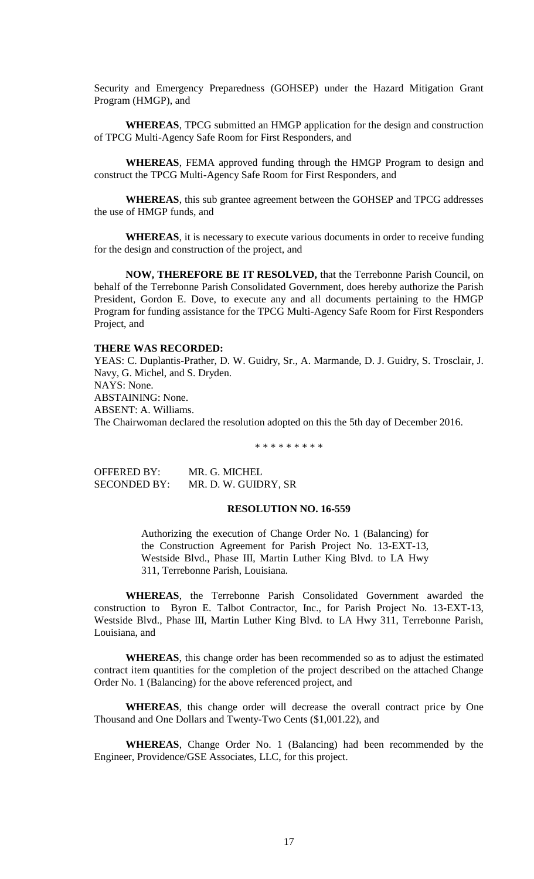Security and Emergency Preparedness (GOHSEP) under the Hazard Mitigation Grant Program (HMGP), and

**WHEREAS**, TPCG submitted an HMGP application for the design and construction of TPCG Multi-Agency Safe Room for First Responders, and

**WHEREAS**, FEMA approved funding through the HMGP Program to design and construct the TPCG Multi-Agency Safe Room for First Responders, and

**WHEREAS**, this sub grantee agreement between the GOHSEP and TPCG addresses the use of HMGP funds, and

**WHEREAS**, it is necessary to execute various documents in order to receive funding for the design and construction of the project, and

**NOW, THEREFORE BE IT RESOLVED,** that the Terrebonne Parish Council, on behalf of the Terrebonne Parish Consolidated Government, does hereby authorize the Parish President, Gordon E. Dove, to execute any and all documents pertaining to the HMGP Program for funding assistance for the TPCG Multi-Agency Safe Room for First Responders Project, and

## **THERE WAS RECORDED:**

YEAS: C. Duplantis-Prather, D. W. Guidry, Sr., A. Marmande, D. J. Guidry, S. Trosclair, J. Navy, G. Michel, and S. Dryden. NAYS: None. ABSTAINING: None. ABSENT: A. Williams. The Chairwoman declared the resolution adopted on this the 5th day of December 2016.

\* \* \* \* \* \* \* \* \*

OFFERED BY: MR. G. MICHEL SECONDED BY: MR. D. W. GUIDRY, SR

#### **RESOLUTION NO. 16-559**

Authorizing the execution of Change Order No. 1 (Balancing) for the Construction Agreement for Parish Project No. 13-EXT-13, Westside Blvd., Phase III, Martin Luther King Blvd. to LA Hwy 311, Terrebonne Parish, Louisiana.

**WHEREAS**, the Terrebonne Parish Consolidated Government awarded the construction to Byron E. Talbot Contractor, Inc., for Parish Project No. 13-EXT-13, Westside Blvd., Phase III, Martin Luther King Blvd. to LA Hwy 311, Terrebonne Parish, Louisiana, and

**WHEREAS**, this change order has been recommended so as to adjust the estimated contract item quantities for the completion of the project described on the attached Change Order No. 1 (Balancing) for the above referenced project, and

**WHEREAS**, this change order will decrease the overall contract price by One Thousand and One Dollars and Twenty-Two Cents (\$1,001.22), and

**WHEREAS**, Change Order No. 1 (Balancing) had been recommended by the Engineer, Providence/GSE Associates, LLC, for this project.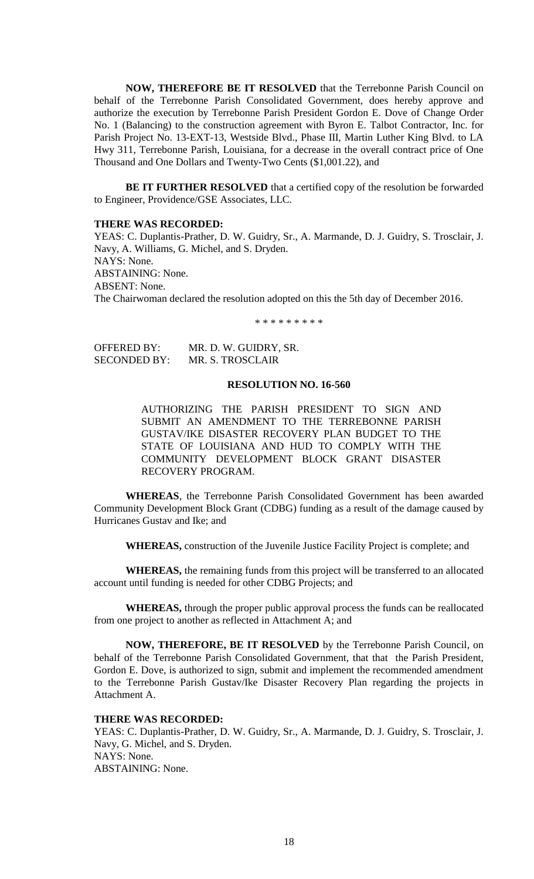**NOW, THEREFORE BE IT RESOLVED** that the Terrebonne Parish Council on behalf of the Terrebonne Parish Consolidated Government, does hereby approve and authorize the execution by Terrebonne Parish President Gordon E. Dove of Change Order No. 1 (Balancing) to the construction agreement with Byron E. Talbot Contractor, Inc. for Parish Project No. 13-EXT-13, Westside Blvd., Phase III, Martin Luther King Blvd. to LA Hwy 311, Terrebonne Parish, Louisiana, for a decrease in the overall contract price of One Thousand and One Dollars and Twenty-Two Cents (\$1,001.22), and

**BE IT FURTHER RESOLVED** that a certified copy of the resolution be forwarded to Engineer, Providence/GSE Associates, LLC.

#### **THERE WAS RECORDED:**

YEAS: C. Duplantis-Prather, D. W. Guidry, Sr., A. Marmande, D. J. Guidry, S. Trosclair, J. Navy, A. Williams, G. Michel, and S. Dryden. NAYS: None. ABSTAINING: None. ABSENT: None. The Chairwoman declared the resolution adopted on this the 5th day of December 2016.

\* \* \* \* \* \* \* \* \* \* \*

| OFFERED BY:         | MR. D. W. GUIDRY, SR. |
|---------------------|-----------------------|
| <b>SECONDED BY:</b> | MR. S. TROSCLAIR      |

## **RESOLUTION NO. 16-560**

AUTHORIZING THE PARISH PRESIDENT TO SIGN AND SUBMIT AN AMENDMENT TO THE TERREBONNE PARISH GUSTAV/IKE DISASTER RECOVERY PLAN BUDGET TO THE STATE OF LOUISIANA AND HUD TO COMPLY WITH THE COMMUNITY DEVELOPMENT BLOCK GRANT DISASTER RECOVERY PROGRAM.

**WHEREAS**, the Terrebonne Parish Consolidated Government has been awarded Community Development Block Grant (CDBG) funding as a result of the damage caused by Hurricanes Gustav and Ike; and

**WHEREAS,** construction of the Juvenile Justice Facility Project is complete; and

**WHEREAS,** the remaining funds from this project will be transferred to an allocated account until funding is needed for other CDBG Projects; and

**WHEREAS,** through the proper public approval process the funds can be reallocated from one project to another as reflected in Attachment A; and

**NOW, THEREFORE, BE IT RESOLVED** by the Terrebonne Parish Council, on behalf of the Terrebonne Parish Consolidated Government, that that the Parish President, Gordon E. Dove, is authorized to sign, submit and implement the recommended amendment to the Terrebonne Parish Gustav/Ike Disaster Recovery Plan regarding the projects in Attachment A.

### **THERE WAS RECORDED:**

YEAS: C. Duplantis-Prather, D. W. Guidry, Sr., A. Marmande, D. J. Guidry, S. Trosclair, J. Navy, G. Michel, and S. Dryden. NAYS: None. ABSTAINING: None.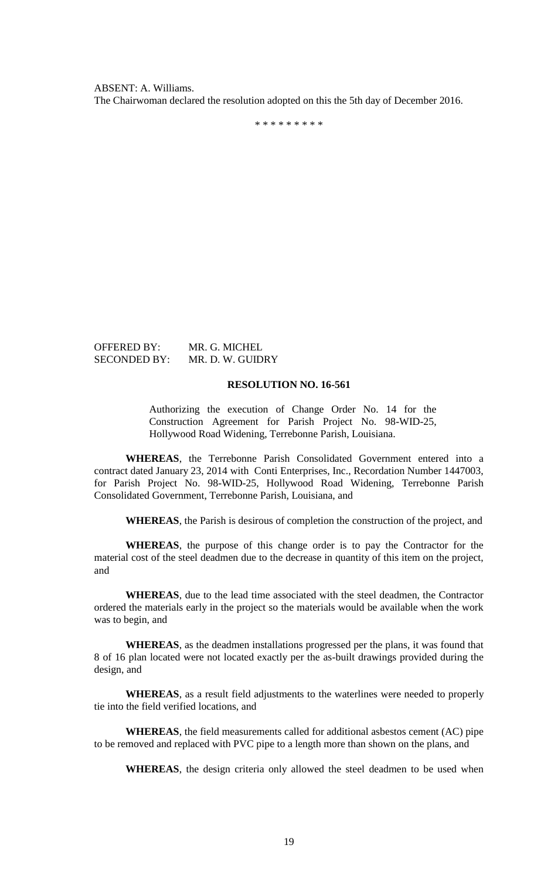ABSENT: A. Williams. The Chairwoman declared the resolution adopted on this the 5th day of December 2016.

\* \* \* \* \* \* \* \* \*

OFFERED BY: MR. G. MICHEL SECONDED BY: MR. D. W. GUIDRY

### **RESOLUTION NO. 16-561**

Authorizing the execution of Change Order No. 14 for the Construction Agreement for Parish Project No. 98-WID-25, Hollywood Road Widening, Terrebonne Parish, Louisiana.

**WHEREAS**, the Terrebonne Parish Consolidated Government entered into a contract dated January 23, 2014 with Conti Enterprises, Inc., Recordation Number 1447003, for Parish Project No. 98-WID-25, Hollywood Road Widening, Terrebonne Parish Consolidated Government, Terrebonne Parish, Louisiana, and

**WHEREAS**, the Parish is desirous of completion the construction of the project, and

**WHEREAS**, the purpose of this change order is to pay the Contractor for the material cost of the steel deadmen due to the decrease in quantity of this item on the project, and

**WHEREAS**, due to the lead time associated with the steel deadmen, the Contractor ordered the materials early in the project so the materials would be available when the work was to begin, and

**WHEREAS**, as the deadmen installations progressed per the plans, it was found that 8 of 16 plan located were not located exactly per the as-built drawings provided during the design, and

**WHEREAS**, as a result field adjustments to the waterlines were needed to properly tie into the field verified locations, and

**WHEREAS**, the field measurements called for additional asbestos cement (AC) pipe to be removed and replaced with PVC pipe to a length more than shown on the plans, and

**WHEREAS**, the design criteria only allowed the steel deadmen to be used when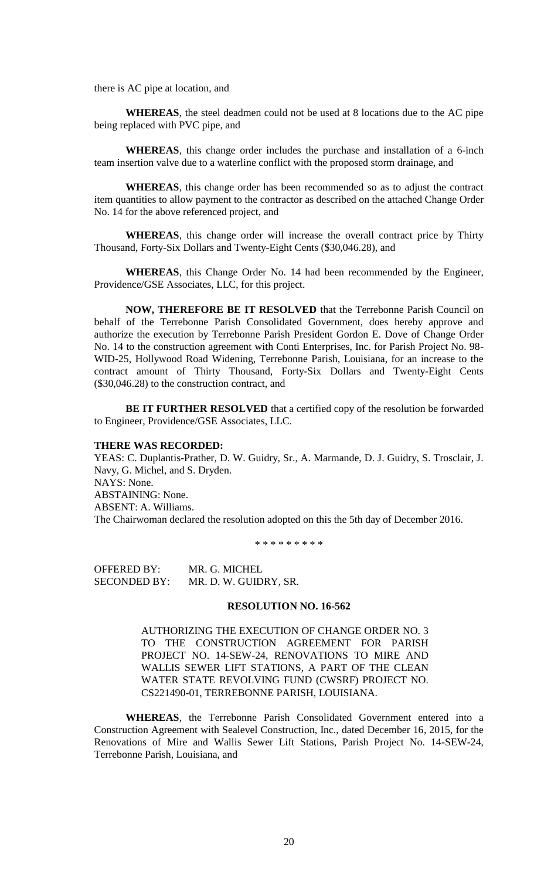there is AC pipe at location, and

**WHEREAS**, the steel deadmen could not be used at 8 locations due to the AC pipe being replaced with PVC pipe, and

**WHEREAS**, this change order includes the purchase and installation of a 6-inch team insertion valve due to a waterline conflict with the proposed storm drainage, and

**WHEREAS**, this change order has been recommended so as to adjust the contract item quantities to allow payment to the contractor as described on the attached Change Order No. 14 for the above referenced project, and

**WHEREAS**, this change order will increase the overall contract price by Thirty Thousand, Forty-Six Dollars and Twenty-Eight Cents (\$30,046.28), and

**WHEREAS**, this Change Order No. 14 had been recommended by the Engineer, Providence/GSE Associates, LLC, for this project.

**NOW, THEREFORE BE IT RESOLVED** that the Terrebonne Parish Council on behalf of the Terrebonne Parish Consolidated Government, does hereby approve and authorize the execution by Terrebonne Parish President Gordon E. Dove of Change Order No. 14 to the construction agreement with Conti Enterprises, Inc. for Parish Project No. 98- WID-25, Hollywood Road Widening, Terrebonne Parish, Louisiana, for an increase to the contract amount of Thirty Thousand, Forty-Six Dollars and Twenty-Eight Cents (\$30,046.28) to the construction contract, and

**BE IT FURTHER RESOLVED** that a certified copy of the resolution be forwarded to Engineer, Providence/GSE Associates, LLC.

### **THERE WAS RECORDED:**

YEAS: C. Duplantis-Prather, D. W. Guidry, Sr., A. Marmande, D. J. Guidry, S. Trosclair, J. Navy, G. Michel, and S. Dryden. NAYS: None. ABSTAINING: None. ABSENT: A. Williams. The Chairwoman declared the resolution adopted on this the 5th day of December 2016.

\* \* \* \* \* \* \* \* \*

OFFERED BY: MR. G. MICHEL SECONDED BY: MR. D. W. GUIDRY, SR.

#### **RESOLUTION NO. 16-562**

AUTHORIZING THE EXECUTION OF CHANGE ORDER NO. 3 TO THE CONSTRUCTION AGREEMENT FOR PARISH PROJECT NO. 14-SEW-24, RENOVATIONS TO MIRE AND WALLIS SEWER LIFT STATIONS, A PART OF THE CLEAN WATER STATE REVOLVING FUND (CWSRF) PROJECT NO. CS221490-01, TERREBONNE PARISH, LOUISIANA.

**WHEREAS**, the Terrebonne Parish Consolidated Government entered into a Construction Agreement with Sealevel Construction, Inc., dated December 16, 2015, for the Renovations of Mire and Wallis Sewer Lift Stations, Parish Project No. 14-SEW-24, Terrebonne Parish, Louisiana, and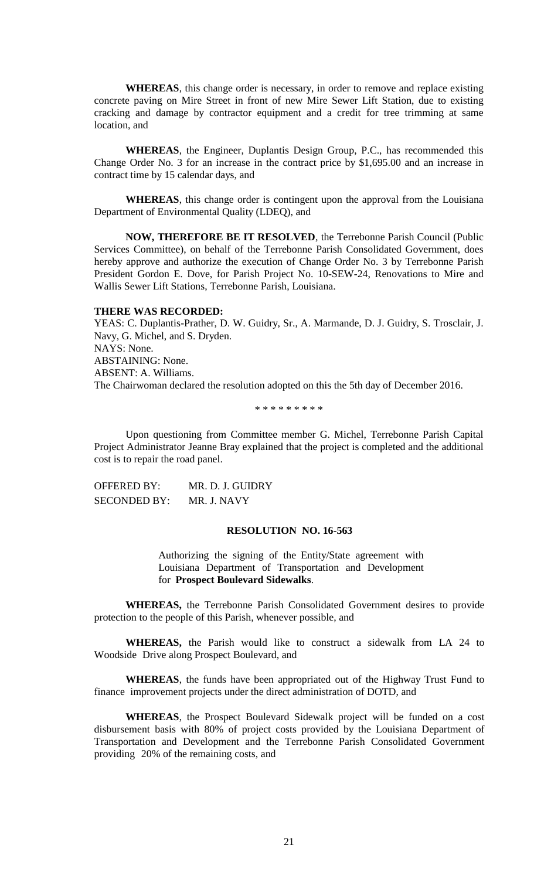**WHEREAS**, this change order is necessary, in order to remove and replace existing concrete paving on Mire Street in front of new Mire Sewer Lift Station, due to existing cracking and damage by contractor equipment and a credit for tree trimming at same location, and

**WHEREAS**, the Engineer, Duplantis Design Group, P.C., has recommended this Change Order No. 3 for an increase in the contract price by \$1,695.00 and an increase in contract time by 15 calendar days, and

**WHEREAS**, this change order is contingent upon the approval from the Louisiana Department of Environmental Quality (LDEQ), and

**NOW, THEREFORE BE IT RESOLVED**, the Terrebonne Parish Council (Public Services Committee), on behalf of the Terrebonne Parish Consolidated Government, does hereby approve and authorize the execution of Change Order No. 3 by Terrebonne Parish President Gordon E. Dove, for Parish Project No. 10-SEW-24, Renovations to Mire and Wallis Sewer Lift Stations, Terrebonne Parish, Louisiana.

#### **THERE WAS RECORDED:**

YEAS: C. Duplantis-Prather, D. W. Guidry, Sr., A. Marmande, D. J. Guidry, S. Trosclair, J. Navy, G. Michel, and S. Dryden. NAYS: None. ABSTAINING: None. ABSENT: A. Williams. The Chairwoman declared the resolution adopted on this the 5th day of December 2016.

\* \* \* \* \* \* \* \* \*

Upon questioning from Committee member G. Michel, Terrebonne Parish Capital Project Administrator Jeanne Bray explained that the project is completed and the additional cost is to repair the road panel.

OFFERED BY: MR. D. J. GUIDRY SECONDED BY: MR. J. NAVY

#### **RESOLUTION NO. 16-563**

Authorizing the signing of the Entity/State agreement with Louisiana Department of Transportation and Development for **Prospect Boulevard Sidewalks**.

**WHEREAS,** the Terrebonne Parish Consolidated Government desires to provide protection to the people of this Parish, whenever possible, and

**WHEREAS,** the Parish would like to construct a sidewalk from LA 24 to Woodside Drive along Prospect Boulevard, and

**WHEREAS**, the funds have been appropriated out of the Highway Trust Fund to finance improvement projects under the direct administration of DOTD, and

**WHEREAS**, the Prospect Boulevard Sidewalk project will be funded on a cost disbursement basis with 80% of project costs provided by the Louisiana Department of Transportation and Development and the Terrebonne Parish Consolidated Government providing 20% of the remaining costs, and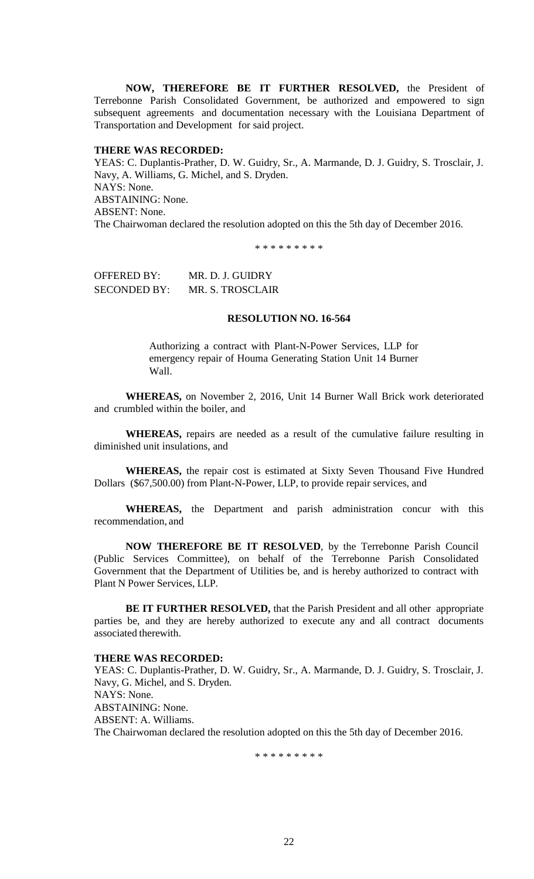**NOW, THEREFORE BE IT FURTHER RESOLVED,** the President of Terrebonne Parish Consolidated Government, be authorized and empowered to sign subsequent agreements and documentation necessary with the Louisiana Department of Transportation and Development for said project.

### **THERE WAS RECORDED:**

YEAS: C. Duplantis-Prather, D. W. Guidry, Sr., A. Marmande, D. J. Guidry, S. Trosclair, J. Navy, A. Williams, G. Michel, and S. Dryden. NAYS: None. ABSTAINING: None. ABSENT: None. The Chairwoman declared the resolution adopted on this the 5th day of December 2016.

\* \* \* \* \* \* \* \* \*

OFFERED BY: MR. D. J. GUIDRY SECONDED BY: MR. S. TROSCLAIR

## **RESOLUTION NO. 16-564**

Authorizing a contract with Plant-N-Power Services, LLP for emergency repair of Houma Generating Station Unit 14 Burner Wall.

**WHEREAS,** on November 2, 2016, Unit 14 Burner Wall Brick work deteriorated and crumbled within the boiler, and

**WHEREAS,** repairs are needed as a result of the cumulative failure resulting in diminished unit insulations, and

**WHEREAS,** the repair cost is estimated at Sixty Seven Thousand Five Hundred Dollars (\$67,500.00) from Plant-N-Power, LLP, to provide repair services, and

**WHEREAS,** the Department and parish administration concur with this recommendation, and

**NOW THEREFORE BE IT RESOLVED**, by the Terrebonne Parish Council (Public Services Committee), on behalf of the Terrebonne Parish Consolidated Government that the Department of Utilities be, and is hereby authorized to contract with Plant N Power Services, LLP.

**BE IT FURTHER RESOLVED,** that the Parish President and all other appropriate parties be, and they are hereby authorized to execute any and all contract documents associated therewith.

### **THERE WAS RECORDED:**

YEAS: C. Duplantis-Prather, D. W. Guidry, Sr., A. Marmande, D. J. Guidry, S. Trosclair, J. Navy, G. Michel, and S. Dryden. NAYS: None. ABSTAINING: None. ABSENT: A. Williams. The Chairwoman declared the resolution adopted on this the 5th day of December 2016.

\* \* \* \* \* \* \* \* \*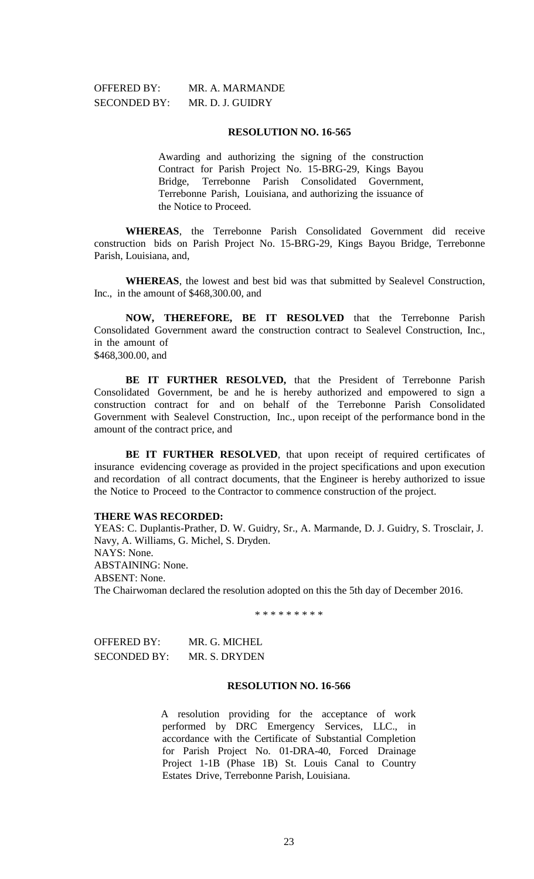OFFERED BY: MR. A. MARMANDE

#### **RESOLUTION NO. 16-565**

Awarding and authorizing the signing of the construction Contract for Parish Project No. 15-BRG-29, Kings Bayou Bridge, Terrebonne Parish Consolidated Government, Terrebonne Parish, Louisiana, and authorizing the issuance of the Notice to Proceed.

**WHEREAS**, the Terrebonne Parish Consolidated Government did receive construction bids on Parish Project No. 15-BRG-29, Kings Bayou Bridge, Terrebonne Parish, Louisiana, and,

**WHEREAS**, the lowest and best bid was that submitted by Sealevel Construction, Inc., in the amount of \$468,300.00, and

**NOW, THEREFORE, BE IT RESOLVED** that the Terrebonne Parish Consolidated Government award the construction contract to Sealevel Construction, Inc., in the amount of \$468,300,00, and

**BE IT FURTHER RESOLVED,** that the President of Terrebonne Parish Consolidated Government, be and he is hereby authorized and empowered to sign a construction contract for and on behalf of the Terrebonne Parish Consolidated Government with Sealevel Construction, Inc., upon receipt of the performance bond in the amount of the contract price, and

**BE IT FURTHER RESOLVED**, that upon receipt of required certificates of insurance evidencing coverage as provided in the project specifications and upon execution and recordation of all contract documents, that the Engineer is hereby authorized to issue the Notice to Proceed to the Contractor to commence construction of the project.

### **THERE WAS RECORDED:**

YEAS: C. Duplantis-Prather, D. W. Guidry, Sr., A. Marmande, D. J. Guidry, S. Trosclair, J. Navy, A. Williams, G. Michel, S. Dryden. NAYS: None. ABSTAINING: None. ABSENT: None. The Chairwoman declared the resolution adopted on this the 5th day of December 2016.

\* \* \* \* \* \* \* \* \*

| OFFERED BY:  | MR. G. MICHEL |
|--------------|---------------|
| SECONDED BY: | MR. S. DRYDEN |

#### **RESOLUTION NO. 16-566**

A resolution providing for the acceptance of work performed by DRC Emergency Services, LLC., in accordance with the Certificate of Substantial Completion for Parish Project No. 01-DRA-40, Forced Drainage Project 1-1B (Phase 1B) St. Louis Canal to Country Estates Drive, Terrebonne Parish, Louisiana.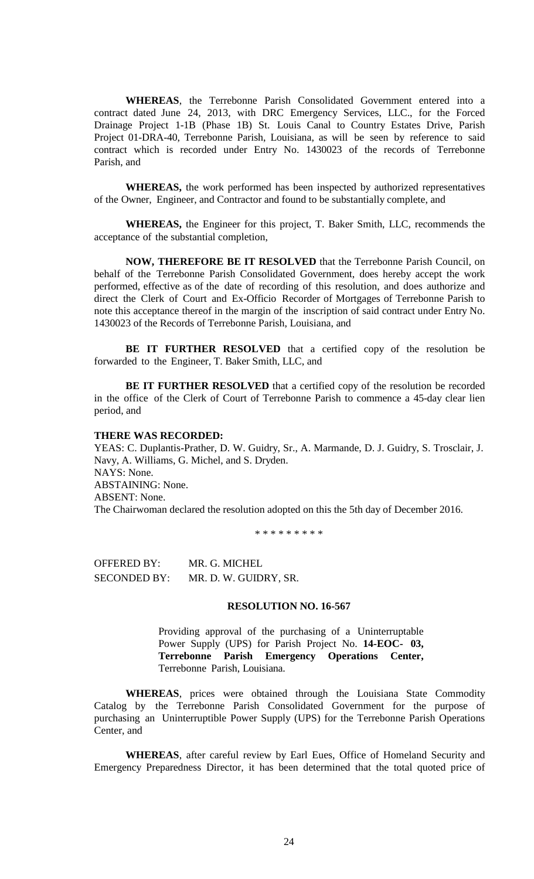**WHEREAS**, the Terrebonne Parish Consolidated Government entered into a contract dated June 24, 2013, with DRC Emergency Services, LLC., for the Forced Drainage Project 1-1B (Phase 1B) St. Louis Canal to Country Estates Drive, Parish Project 01-DRA-40, Terrebonne Parish, Louisiana, as will be seen by reference to said contract which is recorded under Entry No. 1430023 of the records of Terrebonne Parish, and

**WHEREAS,** the work performed has been inspected by authorized representatives of the Owner, Engineer, and Contractor and found to be substantially complete, and

**WHEREAS,** the Engineer for this project, T. Baker Smith, LLC, recommends the acceptance of the substantial completion,

**NOW, THEREFORE BE IT RESOLVED** that the Terrebonne Parish Council, on behalf of the Terrebonne Parish Consolidated Government, does hereby accept the work performed, effective as of the date of recording of this resolution, and does authorize and direct the Clerk of Court and Ex-Officio Recorder of Mortgages of Terrebonne Parish to note this acceptance thereof in the margin of the inscription of said contract under Entry No. 1430023 of the Records of Terrebonne Parish, Louisiana, and

**BE IT FURTHER RESOLVED** that a certified copy of the resolution be forwarded to the Engineer, T. Baker Smith, LLC, and

**BE IT FURTHER RESOLVED** that a certified copy of the resolution be recorded in the office of the Clerk of Court of Terrebonne Parish to commence a 45-day clear lien period, and

#### **THERE WAS RECORDED:**

YEAS: C. Duplantis-Prather, D. W. Guidry, Sr., A. Marmande, D. J. Guidry, S. Trosclair, J. Navy, A. Williams, G. Michel, and S. Dryden. NAYS: None. ABSTAINING: None. ABSENT: None. The Chairwoman declared the resolution adopted on this the 5th day of December 2016.

\* \* \* \* \* \* \* \* \*

OFFERED BY: MR. G. MICHEL SECONDED BY: MR. D. W. GUIDRY, SR.

### **RESOLUTION NO. 16-567**

Providing approval of the purchasing of a Uninterruptable Power Supply (UPS) for Parish Project No. **14-EOC- 03, Terrebonne Parish Emergency Operations Center,** Terrebonne Parish, Louisiana.

**WHEREAS**, prices were obtained through the Louisiana State Commodity Catalog by the Terrebonne Parish Consolidated Government for the purpose of purchasing an Uninterruptible Power Supply (UPS) for the Terrebonne Parish Operations Center, and

**WHEREAS**, after careful review by Earl Eues, Office of Homeland Security and Emergency Preparedness Director, it has been determined that the total quoted price of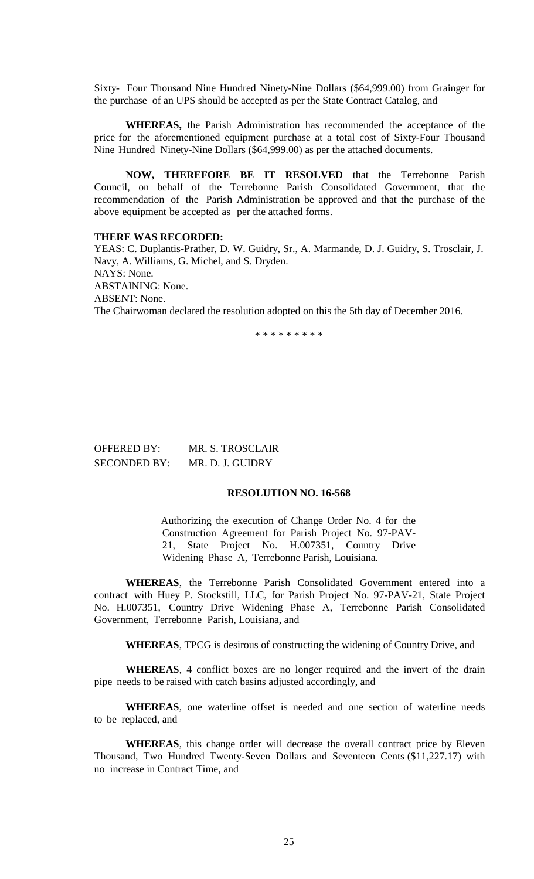Sixty- Four Thousand Nine Hundred Ninety-Nine Dollars (\$64,999.00) from Grainger for the purchase of an UPS should be accepted as per the State Contract Catalog, and

**WHEREAS,** the Parish Administration has recommended the acceptance of the price for the aforementioned equipment purchase at a total cost of Sixty-Four Thousand Nine Hundred Ninety-Nine Dollars (\$64,999.00) as per the attached documents.

**NOW, THEREFORE BE IT RESOLVED** that the Terrebonne Parish Council, on behalf of the Terrebonne Parish Consolidated Government, that the recommendation of the Parish Administration be approved and that the purchase of the above equipment be accepted as per the attached forms.

#### **THERE WAS RECORDED:**

YEAS: C. Duplantis-Prather, D. W. Guidry, Sr., A. Marmande, D. J. Guidry, S. Trosclair, J. Navy, A. Williams, G. Michel, and S. Dryden. NAYS: None. ABSTAINING: None. ABSENT: None. The Chairwoman declared the resolution adopted on this the 5th day of December 2016.

\* \* \* \* \* \* \* \* \*

| OFFERED BY:         | MR. S. TROSCLAIR |
|---------------------|------------------|
| <b>SECONDED BY:</b> | MR. D. J. GUIDRY |

## **RESOLUTION NO. 16-568**

Authorizing the execution of Change Order No. 4 for the Construction Agreement for Parish Project No. 97-PAV-21, State Project No. H.007351, Country Drive Widening Phase A, Terrebonne Parish, Louisiana.

**WHEREAS**, the Terrebonne Parish Consolidated Government entered into a contract with Huey P. Stockstill, LLC, for Parish Project No. 97-PAV-21, State Project No. H.007351, Country Drive Widening Phase A, Terrebonne Parish Consolidated Government, Terrebonne Parish, Louisiana, and

**WHEREAS**, TPCG is desirous of constructing the widening of Country Drive, and

**WHEREAS**, 4 conflict boxes are no longer required and the invert of the drain pipe needs to be raised with catch basins adjusted accordingly, and

**WHEREAS**, one waterline offset is needed and one section of waterline needs to be replaced, and

**WHEREAS**, this change order will decrease the overall contract price by Eleven Thousand, Two Hundred Twenty-Seven Dollars and Seventeen Cents (\$11,227.17) with no increase in Contract Time, and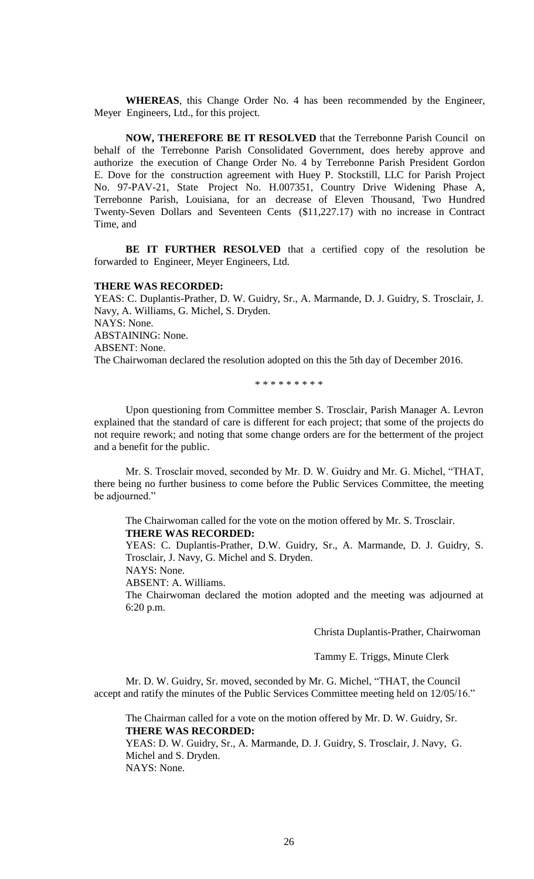**WHEREAS**, this Change Order No. 4 has been recommended by the Engineer, Meyer Engineers, Ltd., for this project.

**NOW, THEREFORE BE IT RESOLVED** that the Terrebonne Parish Council on behalf of the Terrebonne Parish Consolidated Government, does hereby approve and authorize the execution of Change Order No. 4 by Terrebonne Parish President Gordon E. Dove for the construction agreement with Huey P. Stockstill, LLC for Parish Project No. 97-PAV-21, State Project No. H.007351, Country Drive Widening Phase A, Terrebonne Parish, Louisiana, for an decrease of Eleven Thousand, Two Hundred Twenty-Seven Dollars and Seventeen Cents (\$11,227.17) with no increase in Contract Time, and

**BE IT FURTHER RESOLVED** that a certified copy of the resolution be forwarded to Engineer, Meyer Engineers, Ltd.

#### **THERE WAS RECORDED:**

YEAS: C. Duplantis-Prather, D. W. Guidry, Sr., A. Marmande, D. J. Guidry, S. Trosclair, J. Navy, A. Williams, G. Michel, S. Dryden. NAYS: None. ABSTAINING: None. ABSENT: None. The Chairwoman declared the resolution adopted on this the 5th day of December 2016.

\* \* \* \* \* \* \* \* \*

Upon questioning from Committee member S. Trosclair, Parish Manager A. Levron explained that the standard of care is different for each project; that some of the projects do not require rework; and noting that some change orders are for the betterment of the project and a benefit for the public.

Mr. S. Trosclair moved, seconded by Mr. D. W. Guidry and Mr. G. Michel, "THAT, there being no further business to come before the Public Services Committee, the meeting be adjourned."

The Chairwoman called for the vote on the motion offered by Mr. S. Trosclair. **THERE WAS RECORDED:**

YEAS: C. Duplantis-Prather, D.W. Guidry, Sr., A. Marmande, D. J. Guidry, S. Trosclair, J. Navy, G. Michel and S. Dryden.

NAYS: None.

ABSENT: A. Williams.

The Chairwoman declared the motion adopted and the meeting was adjourned at 6:20 p.m.

Christa Duplantis-Prather, Chairwoman

Tammy E. Triggs, Minute Clerk

Mr. D. W. Guidry, Sr. moved, seconded by Mr. G. Michel, "THAT, the Council accept and ratify the minutes of the Public Services Committee meeting held on 12/05/16."

The Chairman called for a vote on the motion offered by Mr. D. W. Guidry, Sr. **THERE WAS RECORDED:**

YEAS: D. W. Guidry, Sr., A. Marmande, D. J. Guidry, S. Trosclair, J. Navy, G. Michel and S. Dryden. NAYS: None.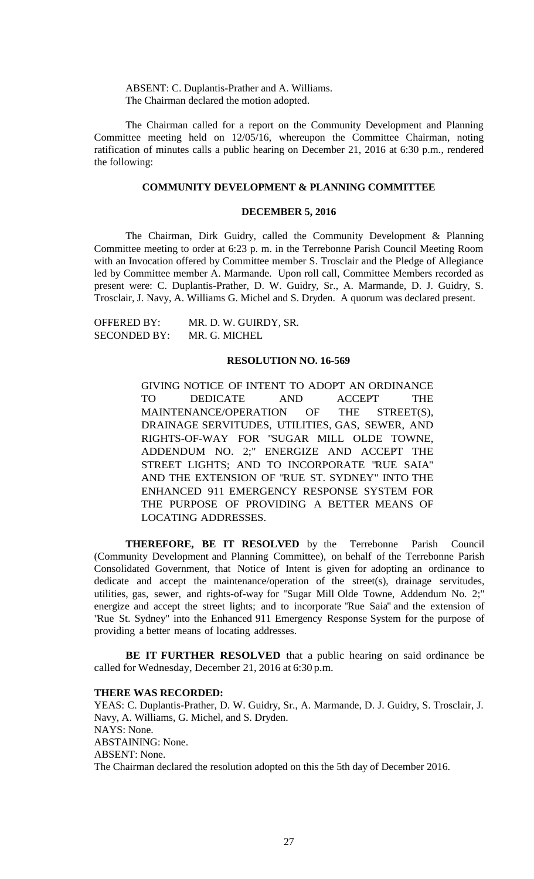ABSENT: C. Duplantis-Prather and A. Williams. The Chairman declared the motion adopted.

The Chairman called for a report on the Community Development and Planning Committee meeting held on 12/05/16, whereupon the Committee Chairman, noting ratification of minutes calls a public hearing on December 21, 2016 at 6:30 p.m., rendered the following:

# **COMMUNITY DEVELOPMENT & PLANNING COMMITTEE**

#### **DECEMBER 5, 2016**

The Chairman, Dirk Guidry, called the Community Development & Planning Committee meeting to order at 6:23 p. m. in the Terrebonne Parish Council Meeting Room with an Invocation offered by Committee member S. Trosclair and the Pledge of Allegiance led by Committee member A. Marmande. Upon roll call, Committee Members recorded as present were: C. Duplantis-Prather, D. W. Guidry, Sr., A. Marmande, D. J. Guidry, S. Trosclair, J. Navy, A. Williams G. Michel and S. Dryden. A quorum was declared present.

OFFERED BY: MR. D. W. GUIRDY, SR. SECONDED BY: MR. G. MICHEL

#### **RESOLUTION NO. 16-569**

GIVING NOTICE OF INTENT TO ADOPT AN ORDINANCE TO DEDICATE AND ACCEPT THE MAINTENANCE/OPERATION OF THE STREET(S), DRAINAGE SERVITUDES, UTILITIES, GAS, SEWER, AND RIGHTS-OF-WAY FOR "SUGAR MILL OLDE TOWNE, ADDENDUM NO. 2;" ENERGIZE AND ACCEPT THE STREET LIGHTS; AND TO INCORPORATE "RUE SAIA" AND THE EXTENSION OF "RUE ST. SYDNEY" INTO THE ENHANCED 911 EMERGENCY RESPONSE SYSTEM FOR THE PURPOSE OF PROVIDING A BETTER MEANS OF LOCATING ADDRESSES.

**THEREFORE, BE IT RESOLVED** by the Terrebonne Parish Council (Community Development and Planning Committee), on behalf of the Terrebonne Parish Consolidated Government, that Notice of Intent is given for adopting an ordinance to dedicate and accept the maintenance/operation of the street(s), drainage servitudes, utilities, gas, sewer, and rights-of-way for "Sugar Mill Olde Towne, Addendum No. 2;" energize and accept the street lights; and to incorporate "Rue Saia" and the extension of "Rue St. Sydney" into the Enhanced 911 Emergency Response System for the purpose of providing a better means of locating addresses.

**BE IT FURTHER RESOLVED** that a public hearing on said ordinance be called for Wednesday, December 21, 2016 at 6:30 p.m.

#### **THERE WAS RECORDED:**

YEAS: C. Duplantis-Prather, D. W. Guidry, Sr., A. Marmande, D. J. Guidry, S. Trosclair, J. Navy, A. Williams, G. Michel, and S. Dryden. NAYS: None. ABSTAINING: None. ABSENT: None. The Chairman declared the resolution adopted on this the 5th day of December 2016.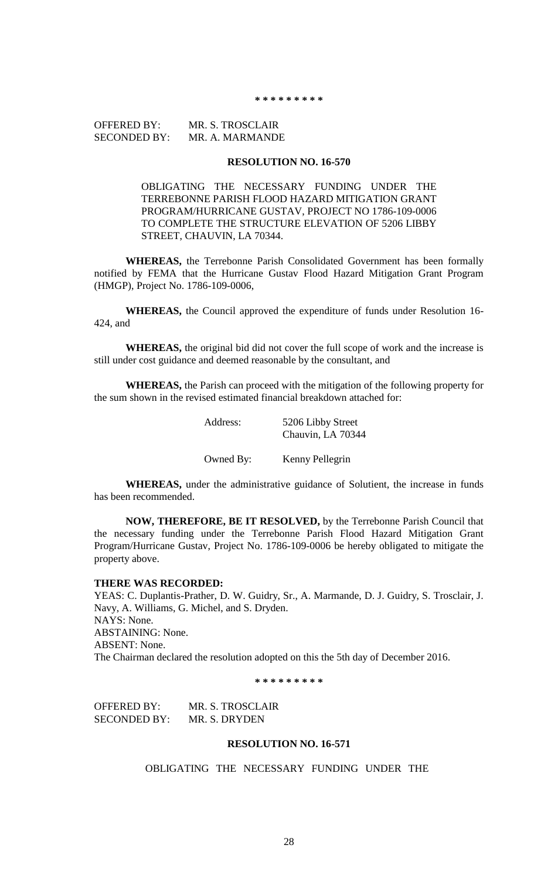#### **\* \* \* \* \* \* \* \* \***

# OFFERED BY: MR. S. TROSCLAIR SECONDED BY: MR. A. MARMANDE

### **RESOLUTION NO. 16-570**

OBLIGATING THE NECESSARY FUNDING UNDER THE TERREBONNE PARISH FLOOD HAZARD MITIGATION GRANT PROGRAM/HURRICANE GUSTAV, PROJECT NO 1786-109-0006 TO COMPLETE THE STRUCTURE ELEVATION OF 5206 LIBBY STREET, CHAUVIN, LA 70344.

**WHEREAS,** the Terrebonne Parish Consolidated Government has been formally notified by FEMA that the Hurricane Gustav Flood Hazard Mitigation Grant Program (HMGP), Project No. 1786-109-0006,

**WHEREAS,** the Council approved the expenditure of funds under Resolution 16- 424, and

**WHEREAS,** the original bid did not cover the full scope of work and the increase is still under cost guidance and deemed reasonable by the consultant, and

**WHEREAS,** the Parish can proceed with the mitigation of the following property for the sum shown in the revised estimated financial breakdown attached for:

| Address:  | 5206 Libby Street<br>Chauvin, LA 70344 |
|-----------|----------------------------------------|
| Owned By: | Kenny Pellegrin                        |

**WHEREAS,** under the administrative guidance of Solutient, the increase in funds has been recommended.

**NOW, THEREFORE, BE IT RESOLVED,** by the Terrebonne Parish Council that the necessary funding under the Terrebonne Parish Flood Hazard Mitigation Grant Program/Hurricane Gustav, Project No. 1786-109-0006 be hereby obligated to mitigate the property above.

#### **THERE WAS RECORDED:**

YEAS: C. Duplantis-Prather, D. W. Guidry, Sr., A. Marmande, D. J. Guidry, S. Trosclair, J. Navy, A. Williams, G. Michel, and S. Dryden. NAYS: None. ABSTAINING: None. ABSENT: None. The Chairman declared the resolution adopted on this the 5th day of December 2016.

**\* \* \* \* \* \* \* \* \***

OFFERED BY: MR. S. TROSCLAIR SECONDED BY: MR. S. DRYDEN

#### **RESOLUTION NO. 16-571**

OBLIGATING THE NECESSARY FUNDING UNDER THE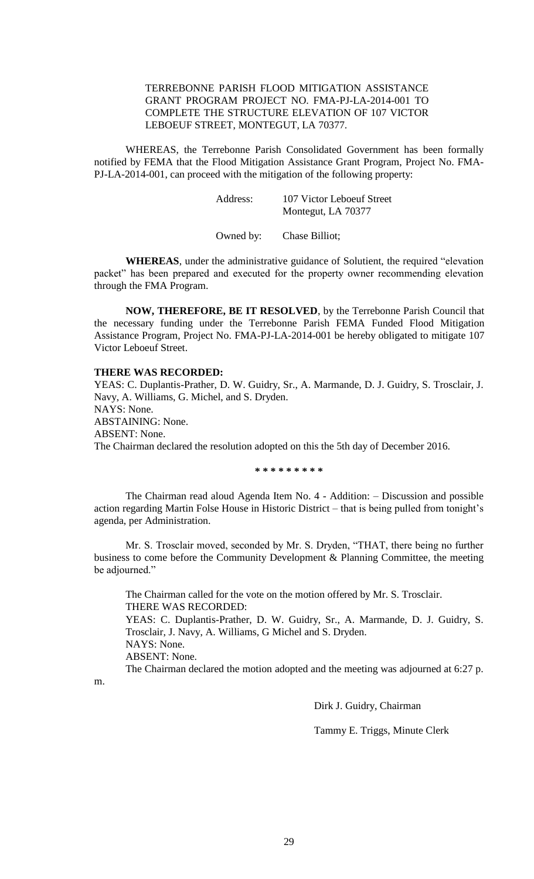# TERREBONNE PARISH FLOOD MITIGATION ASSISTANCE GRANT PROGRAM PROJECT NO. FMA-PJ-LA-2014-001 TO COMPLETE THE STRUCTURE ELEVATION OF 107 VICTOR LEBOEUF STREET, MONTEGUT, LA 70377.

WHEREAS, the Terrebonne Parish Consolidated Government has been formally notified by FEMA that the Flood Mitigation Assistance Grant Program, Project No. FMA-PJ-LA-2014-001, can proceed with the mitigation of the following property:

| Address: | 107 Victor Leboeuf Street |
|----------|---------------------------|
|          | Montegut, LA 70377        |
|          |                           |

Owned by: Chase Billiot;

**WHEREAS**, under the administrative guidance of Solutient, the required "elevation packet" has been prepared and executed for the property owner recommending elevation through the FMA Program.

**NOW, THEREFORE, BE IT RESOLVED**, by the Terrebonne Parish Council that the necessary funding under the Terrebonne Parish FEMA Funded Flood Mitigation Assistance Program, Project No. FMA-PJ-LA-2014-001 be hereby obligated to mitigate 107 Victor Leboeuf Street.

## **THERE WAS RECORDED:**

YEAS: C. Duplantis-Prather, D. W. Guidry, Sr., A. Marmande, D. J. Guidry, S. Trosclair, J. Navy, A. Williams, G. Michel, and S. Dryden. NAYS: None. ABSTAINING: None. ABSENT: None. The Chairman declared the resolution adopted on this the 5th day of December 2016.

**\* \* \* \* \* \* \* \* \***

The Chairman read aloud Agenda Item No. 4 - Addition: – Discussion and possible action regarding Martin Folse House in Historic District – that is being pulled from tonight's agenda, per Administration.

Mr. S. Trosclair moved, seconded by Mr. S. Dryden, "THAT, there being no further business to come before the Community Development & Planning Committee, the meeting be adjourned."

The Chairman called for the vote on the motion offered by Mr. S. Trosclair. THERE WAS RECORDED: YEAS: C. Duplantis-Prather, D. W. Guidry, Sr., A. Marmande, D. J. Guidry, S. Trosclair, J. Navy, A. Williams, G Michel and S. Dryden. NAYS: None. ABSENT: None. The Chairman declared the motion adopted and the meeting was adjourned at 6:27 p.

m.

Dirk J. Guidry, Chairman

Tammy E. Triggs, Minute Clerk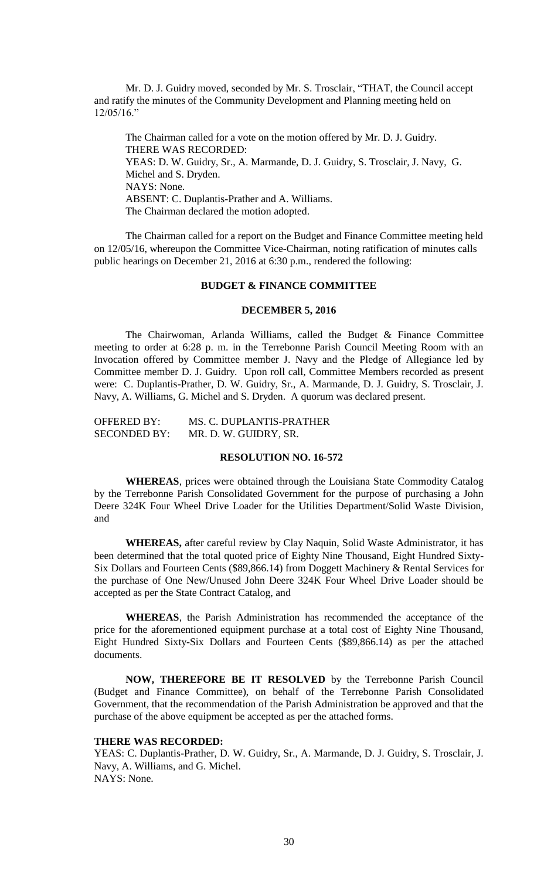Mr. D. J. Guidry moved, seconded by Mr. S. Trosclair, "THAT, the Council accept and ratify the minutes of the Community Development and Planning meeting held on 12/05/16."

The Chairman called for a vote on the motion offered by Mr. D. J. Guidry. THERE WAS RECORDED: YEAS: D. W. Guidry, Sr., A. Marmande, D. J. Guidry, S. Trosclair, J. Navy, G. Michel and S. Dryden. NAYS: None. ABSENT: C. Duplantis-Prather and A. Williams. The Chairman declared the motion adopted.

The Chairman called for a report on the Budget and Finance Committee meeting held on 12/05/16, whereupon the Committee Vice-Chairman, noting ratification of minutes calls public hearings on December 21, 2016 at 6:30 p.m., rendered the following:

## **BUDGET & FINANCE COMMITTEE**

#### **DECEMBER 5, 2016**

The Chairwoman, Arlanda Williams, called the Budget & Finance Committee meeting to order at 6:28 p. m. in the Terrebonne Parish Council Meeting Room with an Invocation offered by Committee member J. Navy and the Pledge of Allegiance led by Committee member D. J. Guidry. Upon roll call, Committee Members recorded as present were: C. Duplantis-Prather, D. W. Guidry, Sr., A. Marmande, D. J. Guidry, S. Trosclair, J. Navy, A. Williams, G. Michel and S. Dryden. A quorum was declared present.

| <b>OFFERED BY:</b>  | MS. C. DUPLANTIS-PRATHER |
|---------------------|--------------------------|
| <b>SECONDED BY:</b> | MR. D. W. GUIDRY, SR.    |

## **RESOLUTION NO. 16-572**

**WHEREAS**, prices were obtained through the Louisiana State Commodity Catalog by the Terrebonne Parish Consolidated Government for the purpose of purchasing a John Deere 324K Four Wheel Drive Loader for the Utilities Department/Solid Waste Division, and

**WHEREAS,** after careful review by Clay Naquin, Solid Waste Administrator, it has been determined that the total quoted price of Eighty Nine Thousand, Eight Hundred Sixty-Six Dollars and Fourteen Cents (\$89,866.14) from Doggett Machinery & Rental Services for the purchase of One New/Unused John Deere 324K Four Wheel Drive Loader should be accepted as per the State Contract Catalog, and

**WHEREAS**, the Parish Administration has recommended the acceptance of the price for the aforementioned equipment purchase at a total cost of Eighty Nine Thousand, Eight Hundred Sixty-Six Dollars and Fourteen Cents (\$89,866.14) as per the attached documents.

**NOW, THEREFORE BE IT RESOLVED** by the Terrebonne Parish Council (Budget and Finance Committee), on behalf of the Terrebonne Parish Consolidated Government, that the recommendation of the Parish Administration be approved and that the purchase of the above equipment be accepted as per the attached forms.

### **THERE WAS RECORDED:**

YEAS: C. Duplantis-Prather, D. W. Guidry, Sr., A. Marmande, D. J. Guidry, S. Trosclair, J. Navy, A. Williams, and G. Michel. NAYS: None.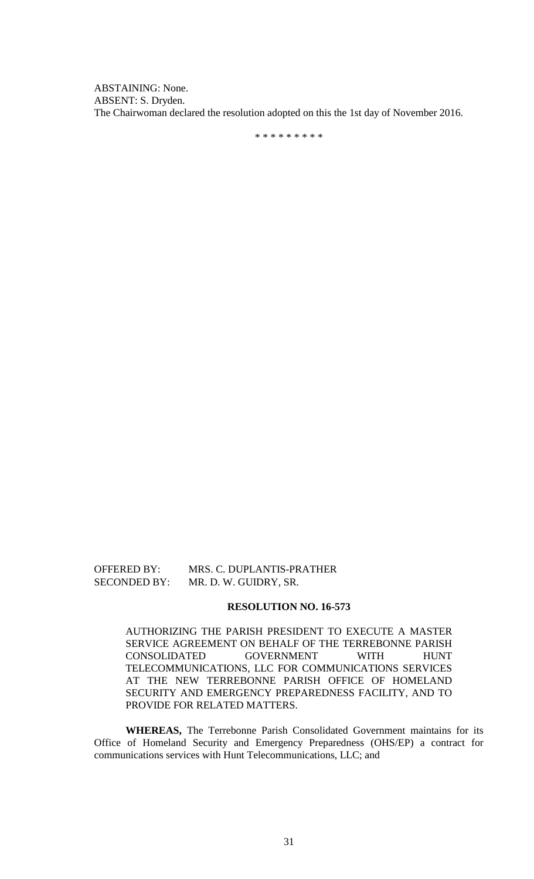ABSTAINING: None. ABSENT: S. Dryden. The Chairwoman declared the resolution adopted on this the 1st day of November 2016.

\* \* \* \* \* \* \* \* \*

# OFFERED BY: MRS. C. DUPLANTIS-PRATHER SECONDED BY: MR. D. W. GUIDRY, SR.

#### **RESOLUTION NO. 16-573**

AUTHORIZING THE PARISH PRESIDENT TO EXECUTE A MASTER SERVICE AGREEMENT ON BEHALF OF THE TERREBONNE PARISH CONSOLIDATED GOVERNMENT WITH HUNT TELECOMMUNICATIONS, LLC FOR COMMUNICATIONS SERVICES AT THE NEW TERREBONNE PARISH OFFICE OF HOMELAND SECURITY AND EMERGENCY PREPAREDNESS FACILITY, AND TO PROVIDE FOR RELATED MATTERS.

**WHEREAS,** The Terrebonne Parish Consolidated Government maintains for its Office of Homeland Security and Emergency Preparedness (OHS/EP) a contract for communications services with Hunt Telecommunications, LLC; and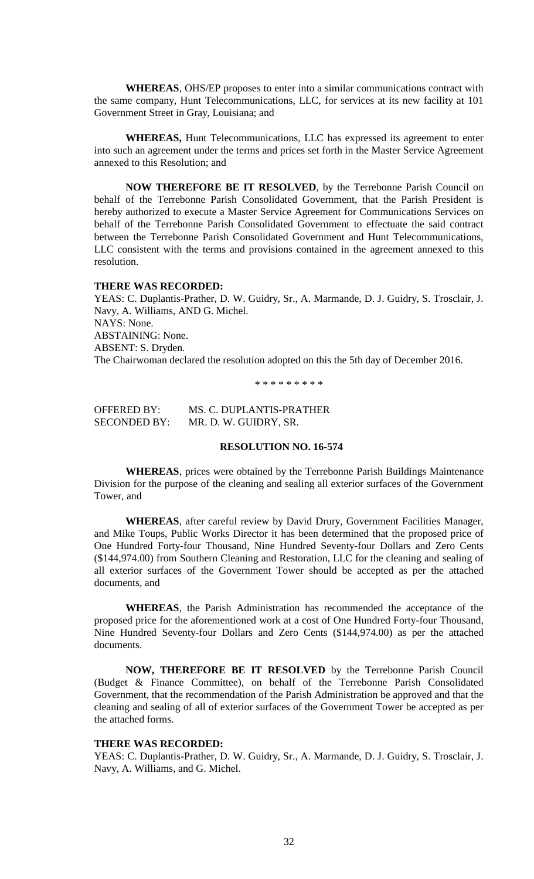**WHEREAS**, OHS/EP proposes to enter into a similar communications contract with the same company, Hunt Telecommunications, LLC, for services at its new facility at 101 Government Street in Gray, Louisiana; and

**WHEREAS,** Hunt Telecommunications, LLC has expressed its agreement to enter into such an agreement under the terms and prices set forth in the Master Service Agreement annexed to this Resolution; and

**NOW THEREFORE BE IT RESOLVED**, by the Terrebonne Parish Council on behalf of the Terrebonne Parish Consolidated Government, that the Parish President is hereby authorized to execute a Master Service Agreement for Communications Services on behalf of the Terrebonne Parish Consolidated Government to effectuate the said contract between the Terrebonne Parish Consolidated Government and Hunt Telecommunications, LLC consistent with the terms and provisions contained in the agreement annexed to this resolution.

## **THERE WAS RECORDED:**

YEAS: C. Duplantis-Prather, D. W. Guidry, Sr., A. Marmande, D. J. Guidry, S. Trosclair, J. Navy, A. Williams, AND G. Michel. NAYS: None. ABSTAINING: None. ABSENT: S. Dryden. The Chairwoman declared the resolution adopted on this the 5th day of December 2016.

\* \* \* \* \* \* \* \* \*

OFFERED BY: MS. C. DUPLANTIS-PRATHER SECONDED BY: MR. D. W. GUIDRY, SR.

# **RESOLUTION NO. 16-574**

**WHEREAS**, prices were obtained by the Terrebonne Parish Buildings Maintenance Division for the purpose of the cleaning and sealing all exterior surfaces of the Government Tower, and

**WHEREAS**, after careful review by David Drury, Government Facilities Manager, and Mike Toups, Public Works Director it has been determined that the proposed price of One Hundred Forty-four Thousand, Nine Hundred Seventy-four Dollars and Zero Cents (\$144,974.00) from Southern Cleaning and Restoration, LLC for the cleaning and sealing of all exterior surfaces of the Government Tower should be accepted as per the attached documents, and

**WHEREAS**, the Parish Administration has recommended the acceptance of the proposed price for the aforementioned work at a cost of One Hundred Forty-four Thousand, Nine Hundred Seventy-four Dollars and Zero Cents (\$144,974.00) as per the attached documents.

**NOW, THEREFORE BE IT RESOLVED** by the Terrebonne Parish Council (Budget & Finance Committee), on behalf of the Terrebonne Parish Consolidated Government, that the recommendation of the Parish Administration be approved and that the cleaning and sealing of all of exterior surfaces of the Government Tower be accepted as per the attached forms.

## **THERE WAS RECORDED:**

YEAS: C. Duplantis-Prather, D. W. Guidry, Sr., A. Marmande, D. J. Guidry, S. Trosclair, J. Navy, A. Williams, and G. Michel.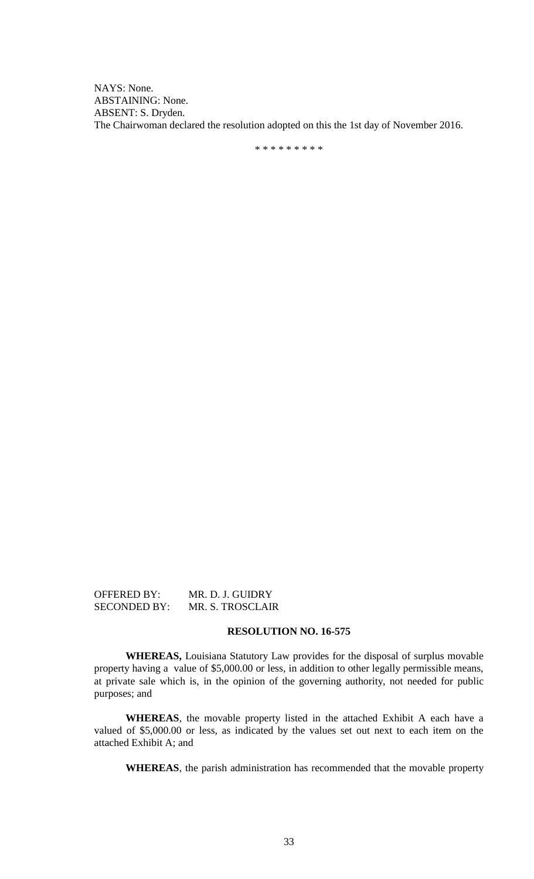NAYS: None. ABSTAINING: None. ABSENT: S. Dryden. The Chairwoman declared the resolution adopted on this the 1st day of November 2016.

\* \* \* \* \* \* \* \* \*

OFFERED BY: MR. D. J. GUIDRY SECONDED BY: MR. S. TROSCLAIR

# **RESOLUTION NO. 16-575**

**WHEREAS,** Louisiana Statutory Law provides for the disposal of surplus movable property having a value of \$5,000.00 or less, in addition to other legally permissible means, at private sale which is, in the opinion of the governing authority, not needed for public purposes; and

**WHEREAS**, the movable property listed in the attached Exhibit A each have a valued of \$5,000.00 or less, as indicated by the values set out next to each item on the attached Exhibit A; and

**WHEREAS**, the parish administration has recommended that the movable property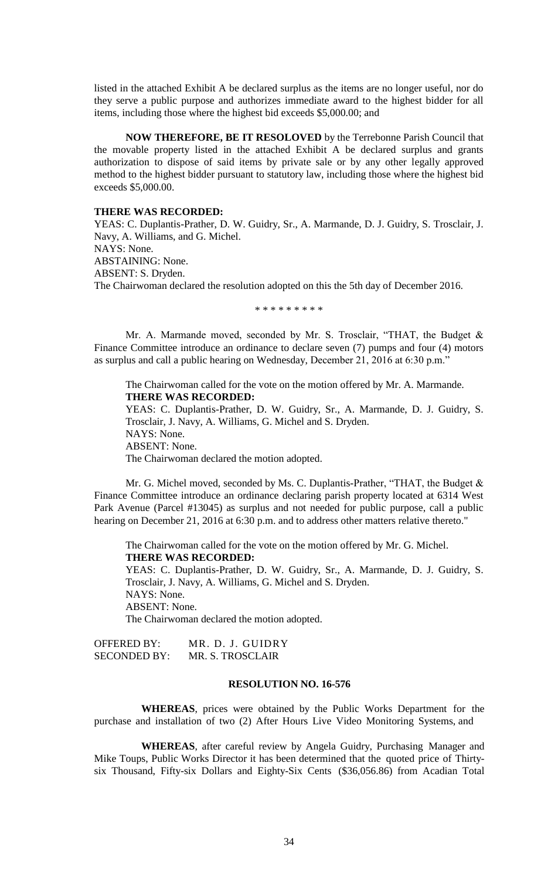listed in the attached Exhibit A be declared surplus as the items are no longer useful, nor do they serve a public purpose and authorizes immediate award to the highest bidder for all items, including those where the highest bid exceeds \$5,000.00; and

**NOW THEREFORE, BE IT RESOLOVED** by the Terrebonne Parish Council that the movable property listed in the attached Exhibit A be declared surplus and grants authorization to dispose of said items by private sale or by any other legally approved method to the highest bidder pursuant to statutory law, including those where the highest bid exceeds \$5,000.00.

#### **THERE WAS RECORDED:**

YEAS: C. Duplantis-Prather, D. W. Guidry, Sr., A. Marmande, D. J. Guidry, S. Trosclair, J. Navy, A. Williams, and G. Michel. NAYS: None. ABSTAINING: None. ABSENT: S. Dryden. The Chairwoman declared the resolution adopted on this the 5th day of December 2016.

\* \* \* \* \* \* \* \* \*

Mr. A. Marmande moved, seconded by Mr. S. Trosclair, "THAT, the Budget & Finance Committee introduce an ordinance to declare seven (7) pumps and four (4) motors as surplus and call a public hearing on Wednesday, December 21, 2016 at 6:30 p.m."

The Chairwoman called for the vote on the motion offered by Mr. A. Marmande. **THERE WAS RECORDED:** YEAS: C. Duplantis-Prather, D. W. Guidry, Sr., A. Marmande, D. J. Guidry, S. Trosclair, J. Navy, A. Williams, G. Michel and S. Dryden. NAYS: None. ABSENT: None.

The Chairwoman declared the motion adopted.

Mr. G. Michel moved, seconded by Ms. C. Duplantis-Prather, "THAT, the Budget  $\&$ Finance Committee introduce an ordinance declaring parish property located at 6314 West Park Avenue (Parcel #13045) as surplus and not needed for public purpose, call a public hearing on December 21, 2016 at 6:30 p.m. and to address other matters relative thereto."

The Chairwoman called for the vote on the motion offered by Mr. G. Michel. **THERE WAS RECORDED:** YEAS: C. Duplantis-Prather, D. W. Guidry, Sr., A. Marmande, D. J. Guidry, S. Trosclair, J. Navy, A. Williams, G. Michel and S. Dryden. NAYS: None.

ABSENT: None. The Chairwoman declared the motion adopted.

| <b>OFFERED BY:</b>  | MR. D. J. GUIDRY |
|---------------------|------------------|
| <b>SECONDED BY:</b> | MR. S. TROSCLAIR |

#### **RESOLUTION NO. 16-576**

**WHEREAS**, prices were obtained by the Public Works Department for the purchase and installation of two (2) After Hours Live Video Monitoring Systems, and

**WHEREAS**, after careful review by Angela Guidry, Purchasing Manager and Mike Toups, Public Works Director it has been determined that the quoted price of Thirtysix Thousand, Fifty-six Dollars and Eighty-Six Cents (\$36,056.86) from Acadian Total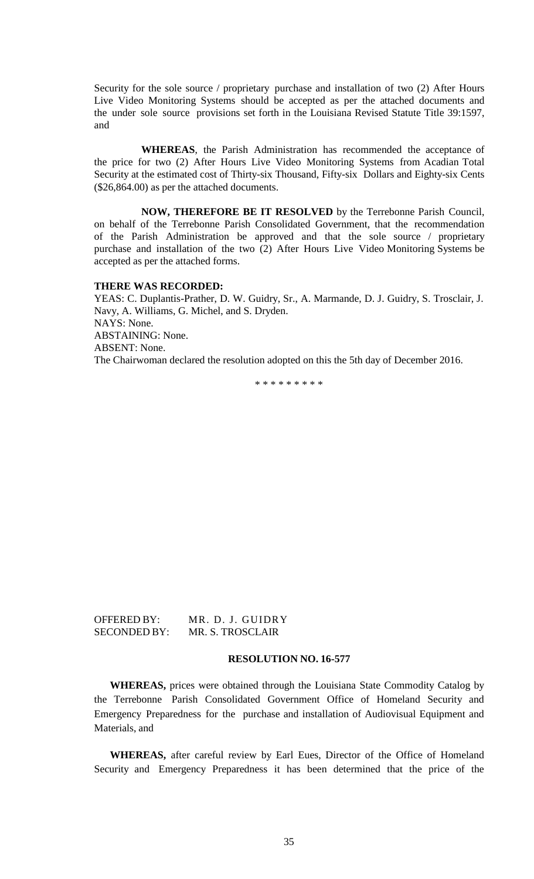Security for the sole source / proprietary purchase and installation of two (2) After Hours Live Video Monitoring Systems should be accepted as per the attached documents and the under sole source provisions set forth in the Louisiana Revised Statute Title 39:1597, and

**WHEREAS**, the Parish Administration has recommended the acceptance of the price for two (2) After Hours Live Video Monitoring Systems from Acadian Total Security at the estimated cost of Thirty-six Thousand, Fifty-six Dollars and Eighty-six Cents (\$26,864.00) as per the attached documents.

**NOW, THEREFORE BE IT RESOLVED** by the Terrebonne Parish Council, on behalf of the Terrebonne Parish Consolidated Government, that the recommendation of the Parish Administration be approved and that the sole source / proprietary purchase and installation of the two (2) After Hours Live Video Monitoring Systems be accepted as per the attached forms.

#### **THERE WAS RECORDED:**

YEAS: C. Duplantis-Prather, D. W. Guidry, Sr., A. Marmande, D. J. Guidry, S. Trosclair, J. Navy, A. Williams, G. Michel, and S. Dryden. NAYS: None. ABSTAINING: None. ABSENT: None. The Chairwoman declared the resolution adopted on this the 5th day of December 2016.

\* \* \* \* \* \* \* \* \*

| OFFERED BY:         | MR. D. J. GUIDRY |
|---------------------|------------------|
| <b>SECONDED BY:</b> | MR. S. TROSCLAIR |

## **RESOLUTION NO. 16-577**

**WHEREAS,** prices were obtained through the Louisiana State Commodity Catalog by the Terrebonne Parish Consolidated Government Office of Homeland Security and Emergency Preparedness for the purchase and installation of Audiovisual Equipment and Materials, and

**WHEREAS,** after careful review by Earl Eues, Director of the Office of Homeland Security and Emergency Preparedness it has been determined that the price of the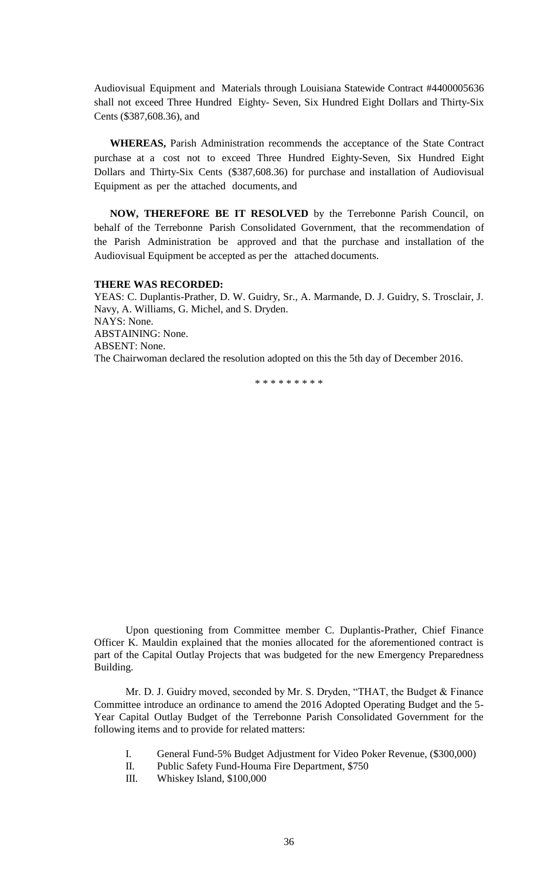Audiovisual Equipment and Materials through Louisiana Statewide Contract #4400005636 shall not exceed Three Hundred Eighty- Seven, Six Hundred Eight Dollars and Thirty-Six Cents (\$387,608.36), and

**WHEREAS,** Parish Administration recommends the acceptance of the State Contract purchase at a cost not to exceed Three Hundred Eighty-Seven, Six Hundred Eight Dollars and Thirty-Six Cents (\$387,608.36) for purchase and installation of Audiovisual Equipment as per the attached documents, and

**NOW, THEREFORE BE IT RESOLVED** by the Terrebonne Parish Council, on behalf of the Terrebonne Parish Consolidated Government, that the recommendation of the Parish Administration be approved and that the purchase and installation of the Audiovisual Equipment be accepted as per the attached documents.

#### **THERE WAS RECORDED:**

YEAS: C. Duplantis-Prather, D. W. Guidry, Sr., A. Marmande, D. J. Guidry, S. Trosclair, J. Navy, A. Williams, G. Michel, and S. Dryden. NAYS: None. ABSTAINING: None. ABSENT: None. The Chairwoman declared the resolution adopted on this the 5th day of December 2016.

\* \* \* \* \* \* \* \* \*

Upon questioning from Committee member C. Duplantis-Prather, Chief Finance Officer K. Mauldin explained that the monies allocated for the aforementioned contract is part of the Capital Outlay Projects that was budgeted for the new Emergency Preparedness Building.

Mr. D. J. Guidry moved, seconded by Mr. S. Dryden, "THAT, the Budget & Finance Committee introduce an ordinance to amend the 2016 Adopted Operating Budget and the 5- Year Capital Outlay Budget of the Terrebonne Parish Consolidated Government for the following items and to provide for related matters:

- I. General Fund-5% Budget Adjustment for Video Poker Revenue, (\$300,000)
- II. Public Safety Fund-Houma Fire Department, \$750
- III. Whiskey Island, \$100,000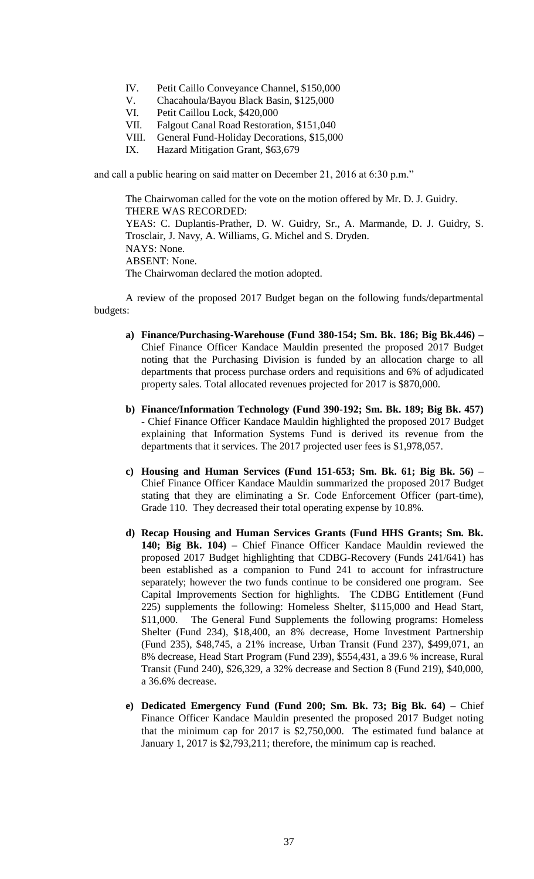- IV. Petit Caillo Conveyance Channel, \$150,000
- V. Chacahoula/Bayou Black Basin, \$125,000
- VI. Petit Caillou Lock, \$420,000
- VII. Falgout Canal Road Restoration, \$151,040
- VIII. General Fund-Holiday Decorations, \$15,000
- IX. Hazard Mitigation Grant, \$63,679

and call a public hearing on said matter on December 21, 2016 at 6:30 p.m."

The Chairwoman called for the vote on the motion offered by Mr. D. J. Guidry. THERE WAS RECORDED: YEAS: C. Duplantis-Prather, D. W. Guidry, Sr., A. Marmande, D. J. Guidry, S. Trosclair, J. Navy, A. Williams, G. Michel and S. Dryden. NAYS: None. ABSENT: None. The Chairwoman declared the motion adopted.

A review of the proposed 2017 Budget began on the following funds/departmental budgets:

- **a) Finance/Purchasing-Warehouse (Fund 380-154; Sm. Bk. 186; Big Bk.446) –** Chief Finance Officer Kandace Mauldin presented the proposed 2017 Budget noting that the Purchasing Division is funded by an allocation charge to all departments that process purchase orders and requisitions and 6% of adjudicated property sales. Total allocated revenues projected for 2017 is \$870,000.
- **b) Finance/Information Technology (Fund 390-192; Sm. Bk. 189; Big Bk. 457) -** Chief Finance Officer Kandace Mauldin highlighted the proposed 2017 Budget explaining that Information Systems Fund is derived its revenue from the departments that it services. The 2017 projected user fees is \$1,978,057.
- **c) Housing and Human Services (Fund 151-653; Sm. Bk. 61; Big Bk. 56) –** Chief Finance Officer Kandace Mauldin summarized the proposed 2017 Budget stating that they are eliminating a Sr. Code Enforcement Officer (part-time), Grade 110. They decreased their total operating expense by 10.8%.
- **d) Recap Housing and Human Services Grants (Fund HHS Grants; Sm. Bk. 140; Big Bk. 104) –** Chief Finance Officer Kandace Mauldin reviewed the proposed 2017 Budget highlighting that CDBG-Recovery (Funds 241/641) has been established as a companion to Fund 241 to account for infrastructure separately; however the two funds continue to be considered one program. See Capital Improvements Section for highlights. The CDBG Entitlement (Fund 225) supplements the following: Homeless Shelter, \$115,000 and Head Start, \$11,000. The General Fund Supplements the following programs: Homeless Shelter (Fund 234), \$18,400, an 8% decrease, Home Investment Partnership (Fund 235), \$48,745, a 21% increase, Urban Transit (Fund 237), \$499,071, an 8% decrease, Head Start Program (Fund 239), \$554,431, a 39.6 % increase, Rural Transit (Fund 240), \$26,329, a 32% decrease and Section 8 (Fund 219), \$40,000, a 36.6% decrease.
- **e) Dedicated Emergency Fund (Fund 200; Sm. Bk. 73; Big Bk. 64) –** Chief Finance Officer Kandace Mauldin presented the proposed 2017 Budget noting that the minimum cap for 2017 is \$2,750,000. The estimated fund balance at January 1, 2017 is \$2,793,211; therefore, the minimum cap is reached.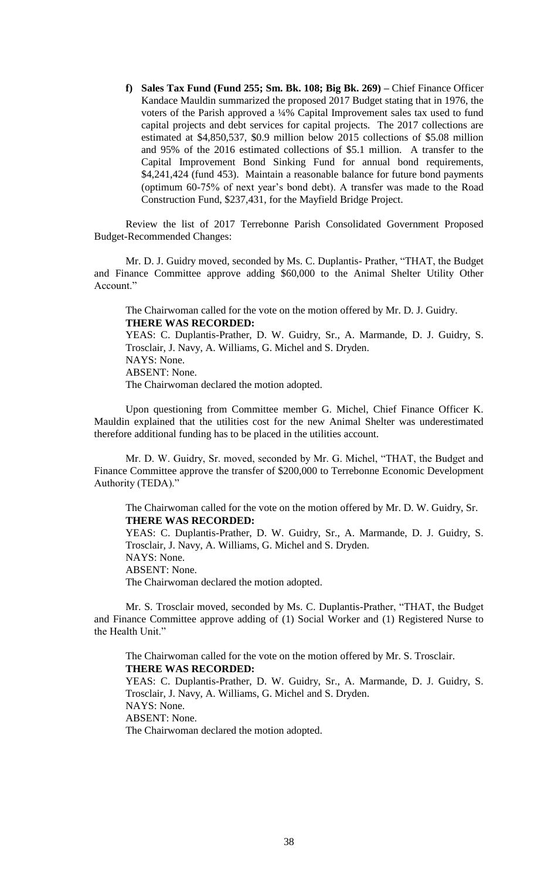**f) Sales Tax Fund (Fund 255; Sm. Bk. 108; Big Bk. 269) –** Chief Finance Officer Kandace Mauldin summarized the proposed 2017 Budget stating that in 1976, the voters of the Parish approved a ¼% Capital Improvement sales tax used to fund capital projects and debt services for capital projects. The 2017 collections are estimated at \$4,850,537, \$0.9 million below 2015 collections of \$5.08 million and 95% of the 2016 estimated collections of \$5.1 million. A transfer to the Capital Improvement Bond Sinking Fund for annual bond requirements, \$4,241,424 (fund 453). Maintain a reasonable balance for future bond payments (optimum 60-75% of next year's bond debt). A transfer was made to the Road Construction Fund, \$237,431, for the Mayfield Bridge Project.

Review the list of 2017 Terrebonne Parish Consolidated Government Proposed Budget-Recommended Changes:

Mr. D. J. Guidry moved, seconded by Ms. C. Duplantis- Prather, "THAT, the Budget and Finance Committee approve adding \$60,000 to the Animal Shelter Utility Other Account."

The Chairwoman called for the vote on the motion offered by Mr. D. J. Guidry. **THERE WAS RECORDED:**

YEAS: C. Duplantis-Prather, D. W. Guidry, Sr., A. Marmande, D. J. Guidry, S. Trosclair, J. Navy, A. Williams, G. Michel and S. Dryden. NAYS: None. ABSENT: None. The Chairwoman declared the motion adopted.

Upon questioning from Committee member G. Michel, Chief Finance Officer K. Mauldin explained that the utilities cost for the new Animal Shelter was underestimated therefore additional funding has to be placed in the utilities account.

Mr. D. W. Guidry, Sr. moved, seconded by Mr. G. Michel, "THAT, the Budget and Finance Committee approve the transfer of \$200,000 to Terrebonne Economic Development Authority (TEDA)."

The Chairwoman called for the vote on the motion offered by Mr. D. W. Guidry, Sr. **THERE WAS RECORDED:**

YEAS: C. Duplantis-Prather, D. W. Guidry, Sr., A. Marmande, D. J. Guidry, S. Trosclair, J. Navy, A. Williams, G. Michel and S. Dryden. NAYS: None. ABSENT: None.

The Chairwoman declared the motion adopted.

Mr. S. Trosclair moved, seconded by Ms. C. Duplantis-Prather, "THAT, the Budget and Finance Committee approve adding of (1) Social Worker and (1) Registered Nurse to the Health Unit."

The Chairwoman called for the vote on the motion offered by Mr. S. Trosclair. **THERE WAS RECORDED:** YEAS: C. Duplantis-Prather, D. W. Guidry, Sr., A. Marmande, D. J. Guidry, S.

Trosclair, J. Navy, A. Williams, G. Michel and S. Dryden. NAYS: None. ABSENT: None.

The Chairwoman declared the motion adopted.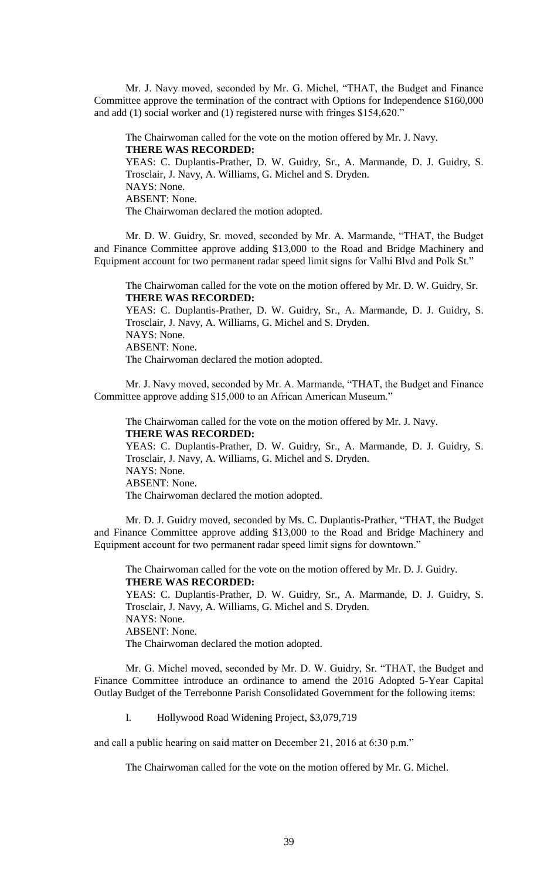Mr. J. Navy moved, seconded by Mr. G. Michel, "THAT, the Budget and Finance Committee approve the termination of the contract with Options for Independence \$160,000 and add (1) social worker and (1) registered nurse with fringes \$154,620."

The Chairwoman called for the vote on the motion offered by Mr. J. Navy. **THERE WAS RECORDED:** YEAS: C. Duplantis-Prather, D. W. Guidry, Sr., A. Marmande, D. J. Guidry, S.

Trosclair, J. Navy, A. Williams, G. Michel and S. Dryden. NAYS: None. ABSENT: None. The Chairwoman declared the motion adopted.

Mr. D. W. Guidry, Sr. moved, seconded by Mr. A. Marmande, "THAT, the Budget and Finance Committee approve adding \$13,000 to the Road and Bridge Machinery and Equipment account for two permanent radar speed limit signs for Valhi Blvd and Polk St."

The Chairwoman called for the vote on the motion offered by Mr. D. W. Guidry, Sr. **THERE WAS RECORDED:**

YEAS: C. Duplantis-Prather, D. W. Guidry, Sr., A. Marmande, D. J. Guidry, S. Trosclair, J. Navy, A. Williams, G. Michel and S. Dryden. NAYS: None. ABSENT: None. The Chairwoman declared the motion adopted.

Mr. J. Navy moved, seconded by Mr. A. Marmande, "THAT, the Budget and Finance Committee approve adding \$15,000 to an African American Museum."

The Chairwoman called for the vote on the motion offered by Mr. J. Navy. **THERE WAS RECORDED:** YEAS: C. Duplantis-Prather, D. W. Guidry, Sr., A. Marmande, D. J. Guidry, S. Trosclair, J. Navy, A. Williams, G. Michel and S. Dryden. NAYS: None. ABSENT: None. The Chairwoman declared the motion adopted.

Mr. D. J. Guidry moved, seconded by Ms. C. Duplantis-Prather, "THAT, the Budget and Finance Committee approve adding \$13,000 to the Road and Bridge Machinery and Equipment account for two permanent radar speed limit signs for downtown."

The Chairwoman called for the vote on the motion offered by Mr. D. J. Guidry. **THERE WAS RECORDED:** YEAS: C. Duplantis-Prather, D. W. Guidry, Sr., A. Marmande, D. J. Guidry, S. Trosclair, J. Navy, A. Williams, G. Michel and S. Dryden. NAYS: None. ABSENT: None. The Chairwoman declared the motion adopted.

Mr. G. Michel moved, seconded by Mr. D. W. Guidry, Sr. "THAT, the Budget and Finance Committee introduce an ordinance to amend the 2016 Adopted 5-Year Capital Outlay Budget of the Terrebonne Parish Consolidated Government for the following items:

I. Hollywood Road Widening Project, \$3,079,719

and call a public hearing on said matter on December 21, 2016 at 6:30 p.m."

The Chairwoman called for the vote on the motion offered by Mr. G. Michel.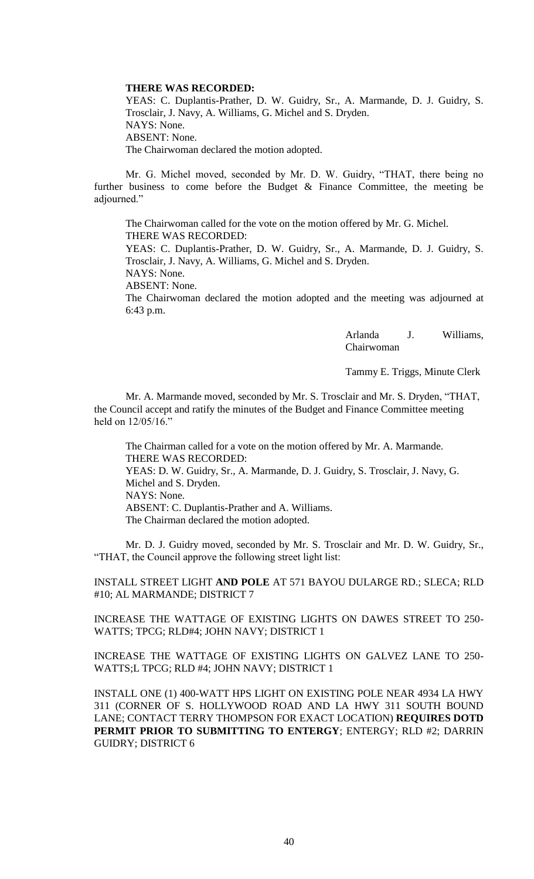#### **THERE WAS RECORDED:**

YEAS: C. Duplantis-Prather, D. W. Guidry, Sr., A. Marmande, D. J. Guidry, S. Trosclair, J. Navy, A. Williams, G. Michel and S. Dryden. NAYS: None. ABSENT: None. The Chairwoman declared the motion adopted.

Mr. G. Michel moved, seconded by Mr. D. W. Guidry, "THAT, there being no further business to come before the Budget  $\&$  Finance Committee, the meeting be adjourned."

The Chairwoman called for the vote on the motion offered by Mr. G. Michel. THERE WAS RECORDED:

YEAS: C. Duplantis-Prather, D. W. Guidry, Sr., A. Marmande, D. J. Guidry, S. Trosclair, J. Navy, A. Williams, G. Michel and S. Dryden.

NAYS: None.

ABSENT: None.

The Chairwoman declared the motion adopted and the meeting was adjourned at 6:43 p.m.

> Arlanda J. Williams, Chairwoman

Tammy E. Triggs, Minute Clerk

Mr. A. Marmande moved, seconded by Mr. S. Trosclair and Mr. S. Dryden, "THAT, the Council accept and ratify the minutes of the Budget and Finance Committee meeting held on 12/05/16."

The Chairman called for a vote on the motion offered by Mr. A. Marmande. THERE WAS RECORDED: YEAS: D. W. Guidry, Sr., A. Marmande, D. J. Guidry, S. Trosclair, J. Navy, G. Michel and S. Dryden. NAYS: None. ABSENT: C. Duplantis-Prather and A. Williams.

The Chairman declared the motion adopted.

Mr. D. J. Guidry moved, seconded by Mr. S. Trosclair and Mr. D. W. Guidry, Sr., "THAT, the Council approve the following street light list:

INSTALL STREET LIGHT **AND POLE** AT 571 BAYOU DULARGE RD.; SLECA; RLD #10; AL MARMANDE; DISTRICT 7

INCREASE THE WATTAGE OF EXISTING LIGHTS ON DAWES STREET TO 250- WATTS; TPCG; RLD#4; JOHN NAVY; DISTRICT 1

INCREASE THE WATTAGE OF EXISTING LIGHTS ON GALVEZ LANE TO 250- WATTS;L TPCG; RLD #4; JOHN NAVY; DISTRICT 1

INSTALL ONE (1) 400-WATT HPS LIGHT ON EXISTING POLE NEAR 4934 LA HWY 311 (CORNER OF S. HOLLYWOOD ROAD AND LA HWY 311 SOUTH BOUND LANE; CONTACT TERRY THOMPSON FOR EXACT LOCATION) **REQUIRES DOTD PERMIT PRIOR TO SUBMITTING TO ENTERGY**; ENTERGY; RLD #2; DARRIN GUIDRY; DISTRICT 6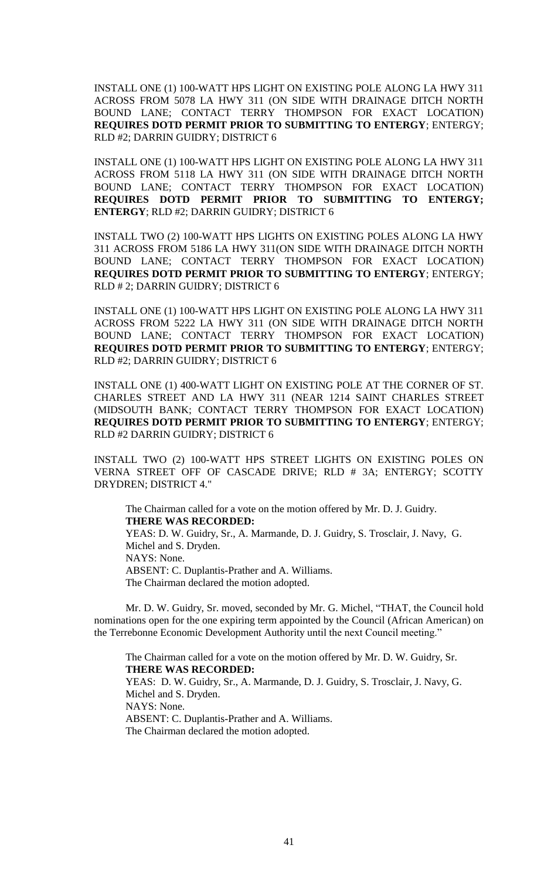INSTALL ONE (1) 100-WATT HPS LIGHT ON EXISTING POLE ALONG LA HWY 311 ACROSS FROM 5078 LA HWY 311 (ON SIDE WITH DRAINAGE DITCH NORTH BOUND LANE; CONTACT TERRY THOMPSON FOR EXACT LOCATION) **REQUIRES DOTD PERMIT PRIOR TO SUBMITTING TO ENTERGY**; ENTERGY; RLD #2; DARRIN GUIDRY; DISTRICT 6

INSTALL ONE (1) 100-WATT HPS LIGHT ON EXISTING POLE ALONG LA HWY 311 ACROSS FROM 5118 LA HWY 311 (ON SIDE WITH DRAINAGE DITCH NORTH BOUND LANE; CONTACT TERRY THOMPSON FOR EXACT LOCATION) **REQUIRES DOTD PERMIT PRIOR TO SUBMITTING TO ENTERGY; ENTERGY**; RLD #2; DARRIN GUIDRY; DISTRICT 6

INSTALL TWO (2) 100-WATT HPS LIGHTS ON EXISTING POLES ALONG LA HWY 311 ACROSS FROM 5186 LA HWY 311(ON SIDE WITH DRAINAGE DITCH NORTH BOUND LANE; CONTACT TERRY THOMPSON FOR EXACT LOCATION) **REQUIRES DOTD PERMIT PRIOR TO SUBMITTING TO ENTERGY**; ENTERGY; RLD # 2; DARRIN GUIDRY; DISTRICT 6

INSTALL ONE (1) 100-WATT HPS LIGHT ON EXISTING POLE ALONG LA HWY 311 ACROSS FROM 5222 LA HWY 311 (ON SIDE WITH DRAINAGE DITCH NORTH BOUND LANE; CONTACT TERRY THOMPSON FOR EXACT LOCATION) **REQUIRES DOTD PERMIT PRIOR TO SUBMITTING TO ENTERGY**; ENTERGY; RLD #2; DARRIN GUIDRY; DISTRICT 6

INSTALL ONE (1) 400-WATT LIGHT ON EXISTING POLE AT THE CORNER OF ST. CHARLES STREET AND LA HWY 311 (NEAR 1214 SAINT CHARLES STREET (MIDSOUTH BANK; CONTACT TERRY THOMPSON FOR EXACT LOCATION) **REQUIRES DOTD PERMIT PRIOR TO SUBMITTING TO ENTERGY**; ENTERGY; RLD #2 DARRIN GUIDRY; DISTRICT 6

INSTALL TWO (2) 100-WATT HPS STREET LIGHTS ON EXISTING POLES ON VERNA STREET OFF OF CASCADE DRIVE; RLD # 3A; ENTERGY; SCOTTY DRYDREN; DISTRICT 4."

The Chairman called for a vote on the motion offered by Mr. D. J. Guidry. **THERE WAS RECORDED:** YEAS: D. W. Guidry, Sr., A. Marmande, D. J. Guidry, S. Trosclair, J. Navy, G. Michel and S. Dryden. NAYS: None. ABSENT: C. Duplantis-Prather and A. Williams. The Chairman declared the motion adopted.

Mr. D. W. Guidry, Sr. moved, seconded by Mr. G. Michel, "THAT, the Council hold nominations open for the one expiring term appointed by the Council (African American) on the Terrebonne Economic Development Authority until the next Council meeting."

The Chairman called for a vote on the motion offered by Mr. D. W. Guidry, Sr. **THERE WAS RECORDED:** YEAS: D. W. Guidry, Sr., A. Marmande, D. J. Guidry, S. Trosclair, J. Navy, G. Michel and S. Dryden. NAYS: None. ABSENT: C. Duplantis-Prather and A. Williams. The Chairman declared the motion adopted.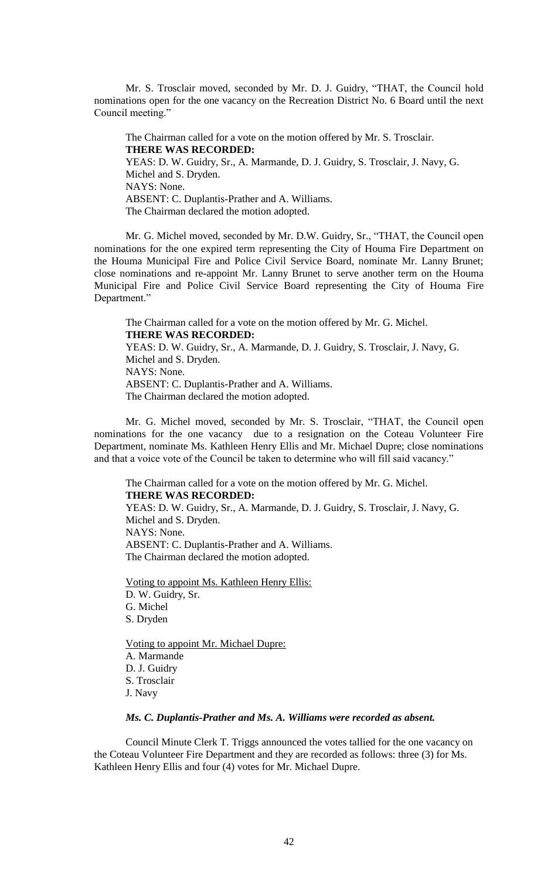Mr. S. Trosclair moved, seconded by Mr. D. J. Guidry, "THAT, the Council hold nominations open for the one vacancy on the Recreation District No. 6 Board until the next Council meeting."

The Chairman called for a vote on the motion offered by Mr. S. Trosclair. **THERE WAS RECORDED:** YEAS: D. W. Guidry, Sr., A. Marmande, D. J. Guidry, S. Trosclair, J. Navy, G. Michel and S. Dryden. NAYS: None. ABSENT: C. Duplantis-Prather and A. Williams. The Chairman declared the motion adopted.

Mr. G. Michel moved, seconded by Mr. D.W. Guidry, Sr., "THAT, the Council open nominations for the one expired term representing the City of Houma Fire Department on the Houma Municipal Fire and Police Civil Service Board, nominate Mr. Lanny Brunet; close nominations and re-appoint Mr. Lanny Brunet to serve another term on the Houma Municipal Fire and Police Civil Service Board representing the City of Houma Fire Department."

The Chairman called for a vote on the motion offered by Mr. G. Michel. **THERE WAS RECORDED:** YEAS: D. W. Guidry, Sr., A. Marmande, D. J. Guidry, S. Trosclair, J. Navy, G. Michel and S. Dryden. NAYS: None. ABSENT: C. Duplantis-Prather and A. Williams. The Chairman declared the motion adopted.

Mr. G. Michel moved, seconded by Mr. S. Trosclair, "THAT, the Council open nominations for the one vacancy due to a resignation on the Coteau Volunteer Fire Department, nominate Ms. Kathleen Henry Ellis and Mr. Michael Dupre; close nominations and that a voice vote of the Council be taken to determine who will fill said vacancy."

The Chairman called for a vote on the motion offered by Mr. G. Michel. **THERE WAS RECORDED:** YEAS: D. W. Guidry, Sr., A. Marmande, D. J. Guidry, S. Trosclair, J. Navy, G. Michel and S. Dryden. NAYS: None. ABSENT: C. Duplantis-Prather and A. Williams. The Chairman declared the motion adopted.

Voting to appoint Ms. Kathleen Henry Ellis: D. W. Guidry, Sr. G. Michel S. Dryden

Voting to appoint Mr. Michael Dupre: A. Marmande D. J. Guidry S. Trosclair J. Navy

### *Ms. C. Duplantis-Prather and Ms. A. Williams were recorded as absent.*

Council Minute Clerk T. Triggs announced the votes tallied for the one vacancy on the Coteau Volunteer Fire Department and they are recorded as follows: three (3) for Ms. Kathleen Henry Ellis and four (4) votes for Mr. Michael Dupre.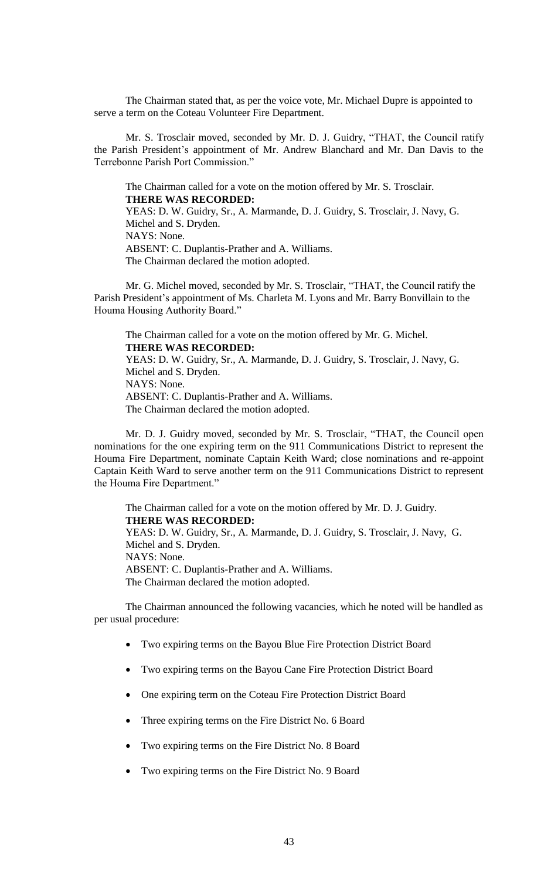The Chairman stated that, as per the voice vote, Mr. Michael Dupre is appointed to serve a term on the Coteau Volunteer Fire Department.

Mr. S. Trosclair moved, seconded by Mr. D. J. Guidry, "THAT, the Council ratify the Parish President's appointment of Mr. Andrew Blanchard and Mr. Dan Davis to the Terrebonne Parish Port Commission."

The Chairman called for a vote on the motion offered by Mr. S. Trosclair. **THERE WAS RECORDED:** YEAS: D. W. Guidry, Sr., A. Marmande, D. J. Guidry, S. Trosclair, J. Navy, G. Michel and S. Dryden. NAYS: None. ABSENT: C. Duplantis-Prather and A. Williams. The Chairman declared the motion adopted.

Mr. G. Michel moved, seconded by Mr. S. Trosclair, "THAT, the Council ratify the Parish President's appointment of Ms. Charleta M. Lyons and Mr. Barry Bonvillain to the Houma Housing Authority Board."

The Chairman called for a vote on the motion offered by Mr. G. Michel. **THERE WAS RECORDED:** YEAS: D. W. Guidry, Sr., A. Marmande, D. J. Guidry, S. Trosclair, J. Navy, G. Michel and S. Dryden. NAYS: None. ABSENT: C. Duplantis-Prather and A. Williams. The Chairman declared the motion adopted.

Mr. D. J. Guidry moved, seconded by Mr. S. Trosclair, "THAT, the Council open nominations for the one expiring term on the 911 Communications District to represent the Houma Fire Department, nominate Captain Keith Ward; close nominations and re-appoint Captain Keith Ward to serve another term on the 911 Communications District to represent the Houma Fire Department."

The Chairman called for a vote on the motion offered by Mr. D. J. Guidry. **THERE WAS RECORDED:** YEAS: D. W. Guidry, Sr., A. Marmande, D. J. Guidry, S. Trosclair, J. Navy, G. Michel and S. Dryden. NAYS: None. ABSENT: C. Duplantis-Prather and A. Williams. The Chairman declared the motion adopted.

The Chairman announced the following vacancies, which he noted will be handled as per usual procedure:

- Two expiring terms on the Bayou Blue Fire Protection District Board
- Two expiring terms on the Bayou Cane Fire Protection District Board
- One expiring term on the Coteau Fire Protection District Board
- Three expiring terms on the Fire District No. 6 Board
- Two expiring terms on the Fire District No. 8 Board
- Two expiring terms on the Fire District No. 9 Board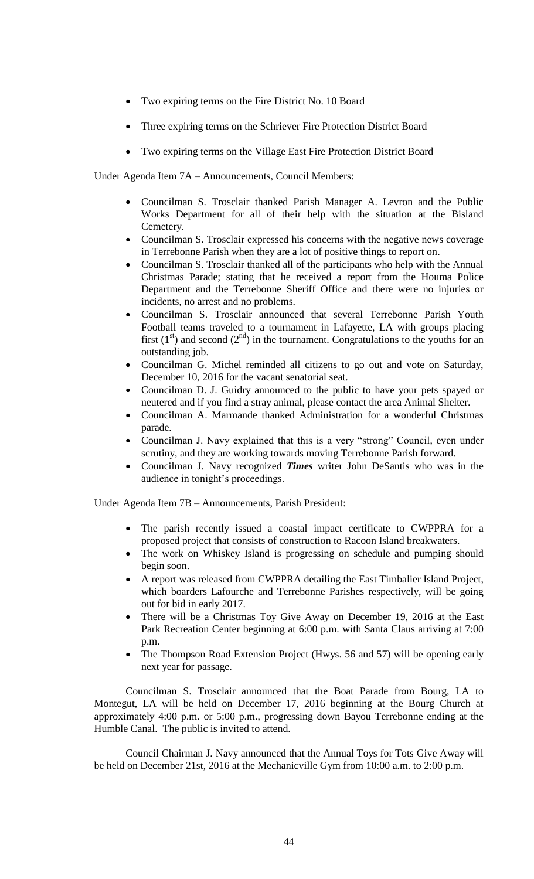- Two expiring terms on the Fire District No. 10 Board
- Three expiring terms on the Schriever Fire Protection District Board
- Two expiring terms on the Village East Fire Protection District Board

Under Agenda Item 7A – Announcements, Council Members:

- Councilman S. Trosclair thanked Parish Manager A. Levron and the Public Works Department for all of their help with the situation at the Bisland Cemetery.
- Councilman S. Trosclair expressed his concerns with the negative news coverage in Terrebonne Parish when they are a lot of positive things to report on.
- Councilman S. Trosclair thanked all of the participants who help with the Annual Christmas Parade; stating that he received a report from the Houma Police Department and the Terrebonne Sheriff Office and there were no injuries or incidents, no arrest and no problems.
- Councilman S. Trosclair announced that several Terrebonne Parish Youth Football teams traveled to a tournament in Lafayette, LA with groups placing first  $(1<sup>st</sup>)$  and second  $(2<sup>nd</sup>)$  in the tournament. Congratulations to the youths for an outstanding job.
- Councilman G. Michel reminded all citizens to go out and vote on Saturday, December 10, 2016 for the vacant senatorial seat.
- Councilman D. J. Guidry announced to the public to have your pets spayed or neutered and if you find a stray animal, please contact the area Animal Shelter.
- Councilman A. Marmande thanked Administration for a wonderful Christmas parade.
- Councilman J. Navy explained that this is a very "strong" Council, even under scrutiny, and they are working towards moving Terrebonne Parish forward.
- Councilman J. Navy recognized *Times* writer John DeSantis who was in the audience in tonight's proceedings.

Under Agenda Item 7B – Announcements, Parish President:

- The parish recently issued a coastal impact certificate to CWPPRA for a proposed project that consists of construction to Racoon Island breakwaters.
- The work on Whiskey Island is progressing on schedule and pumping should begin soon.
- A report was released from CWPPRA detailing the East Timbalier Island Project, which boarders Lafourche and Terrebonne Parishes respectively, will be going out for bid in early 2017.
- There will be a Christmas Toy Give Away on December 19, 2016 at the East Park Recreation Center beginning at 6:00 p.m. with Santa Claus arriving at 7:00 p.m.
- The Thompson Road Extension Project (Hwys. 56 and 57) will be opening early next year for passage.

Councilman S. Trosclair announced that the Boat Parade from Bourg, LA to Montegut, LA will be held on December 17, 2016 beginning at the Bourg Church at approximately 4:00 p.m. or 5:00 p.m., progressing down Bayou Terrebonne ending at the Humble Canal. The public is invited to attend.

Council Chairman J. Navy announced that the Annual Toys for Tots Give Away will be held on December 21st, 2016 at the Mechanicville Gym from 10:00 a.m. to 2:00 p.m.